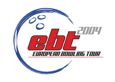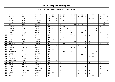| P              | Last name      | First name   | Federation  | $\mathbf{T}$ | 01             | 02             | 03             | 04 | 05             | 06             | 07           | 08             | 09 | 10             | 11 | 12 | 13             | 14             | 15 | 16             |
|----------------|----------------|--------------|-------------|--------------|----------------|----------------|----------------|----|----------------|----------------|--------------|----------------|----|----------------|----|----|----------------|----------------|----|----------------|
| 1              | Bröndsted      | <b>Britt</b> | Denmark     | 189          | 30             |                | 30             | 12 |                | 5              |              | 6              | 30 | 21             | 30 |    | 18             | 6              |    | $\mathbf{1}$   |
| $\overline{2}$ | Beckel         | Martina      | Germany     | 170          |                | 30             | 18             |    | 21             | 6              | 6            | 15             | 5  |                | 18 | 12 |                | 18             | 21 |                |
| 3              | Kjeldsen       | Kamilla      | Denmark     | 130          | 5              | 21             | 6              | 15 | 18             | 5              |              |                | 12 | 18             |    |    |                |                |    | 30             |
| 4              | Glover         | Zara         | England     | 111          |                |                | 21             |    |                |                |              |                |    |                |    | 18 |                | 21             | 30 | 21             |
| 5              | Flack          | Nina         | Sweden      | 102          |                |                | $\overline{4}$ |    |                | 10             | 10           | 5              | 18 | 12             |    |    | 10             |                | 18 | 15             |
| 6              | Jönsson        | Eva          | Sweden      | 96           |                |                | 4              | 30 |                | $\overline{2}$ |              |                |    | 10             |    |    | 15             | 30             |    | 5              |
| $\overline{7}$ | Lundén         | Reija        | Finland     | 89           | 12             |                | 3              |    | $\overline{4}$ | 18             |              | 6              | 4  | 5              |    |    | $\overline{4}$ | 15             |    | 18             |
| 8              | Johnsson       | Helen        | Sweden      | 83           |                |                | 5              |    |                | 30             |              |                |    | 6              |    |    | 30             |                |    | 12             |
| 9              | Petty          | Tanya        | Germany     | 74           |                |                | $\overline{4}$ |    | 30             | 15             |              |                | 15 |                |    |    |                | 10             |    |                |
| 10             | Haglund        | Linda        | Sweden      | 58           |                |                |                |    |                | 21             |              |                |    | 30             |    |    | $\overline{4}$ |                |    | 3              |
| $11$           | Lund           | Bettina      | Denmark     | 52           |                | 10             |                |    |                |                | 3            | 30             |    | 3              | 6  |    |                |                |    |                |
| 12             | Houbo Pedersen | Lotte        | Denmark     | 47           |                |                |                | 21 |                | 3              |              | 21             |    |                |    |    |                |                |    | $\overline{2}$ |
| 13             | Penny          | Kirsten      | England     | 46           | 21             |                | 10             |    |                |                |              |                |    |                |    | 15 |                |                |    |                |
| 14             | Tchu           | Iben         | Denmark     | 44           |                | $\overline{2}$ |                |    |                |                | 30           |                |    | 6              | 6  |    |                |                |    |                |
| 15             | Simonsen       | Rikke        | Denmark     | 41           |                |                |                | 10 |                | $\overline{4}$ |              |                |    | $\overline{4}$ | 15 |    |                | 3              |    | 5              |
| 16             | Gross          | Ivonne       | Austria     | 40           |                | 4              | $\overline{2}$ |    | 15             | $\mathbf 1$    |              | 3              | 3  |                |    |    |                | 12             |    |                |
| 17             | Carlsson       | Christel     | Sweden      | 39           |                |                |                |    |                | 12             | 12           |                |    | $\overline{4}$ |    |    | 5              |                |    | 6              |
| 18             | Allén          | Heta         | Finland     | 35           | 18             |                | 15             |    |                | $\overline{2}$ |              |                |    |                |    |    |                |                |    |                |
| 19             | Wetterlund     | Åsa          | Sweden      | 35           |                |                |                | 18 |                | $\mathbf{1}$   |              |                |    | 6              |    |    | 6              |                |    | $\overline{4}$ |
| 20             | Harries        | Jo           | England     | 34           |                | 4              |                |    |                |                |              |                |    |                |    | 30 |                |                |    |                |
| 21             | Saldjian       | Isabelle     | France      | 31           |                |                |                |    |                |                |              |                | 21 |                | 10 |    |                |                |    |                |
| 22             | Smith          | Ann          | England     | 31           |                |                |                |    |                |                |              |                |    |                | 21 | 10 |                |                |    |                |
| 23             | Smirnova       | Tatiana      | Russia      | 29           |                |                | 6              | 6  | 12             | $\mathbf{1}$   | 4            |                |    |                |    |    |                |                |    |                |
| 24             | Karatzoula     | Martha       | Greece      | 27           |                | 6              |                |    | 10             |                | $\mathbf{1}$ |                | 5  |                |    | 5  |                |                |    |                |
| 25             | Sauer          | Kerstin      | Germany     | 27           | $\overline{4}$ | $\mathbf{1}$   | 4              |    |                |                |              |                | 10 |                | 5  |    |                | 3              |    |                |
| 26             | Woods          | Nikki        | England     | 27           |                | 15             | 12             |    |                |                |              |                |    |                |    |    |                |                |    |                |
| 27             | Göbel          | Michaela     | Germany     | 26           | 5              |                | 5              |    |                | 2              |              |                | 6  | 4              |    |    |                | $\overline{4}$ |    |                |
| 28             | Manico         | Bigi         | Switzerland | 25           |                |                |                |    |                |                | 21           |                |    |                |    |    |                | $\overline{4}$ |    |                |
| 29             | Ardal          | Anne-Sofie   | Denmark     | 24           |                |                | 3              | 6  |                | 3              |              | $\overline{4}$ |    | 3              | 3  |    |                |                |    | 2              |
| 30             | Mäkelä         | Minna        | Finland     | 24           | 15             |                | 5              |    |                | 4              |              |                |    |                |    |    |                |                |    |                |
| 31             | Nielsen        | Vibeke V.    | Denmark     | 22           |                |                |                | 5  |                | $\mathbf{1}$   |              | 6              |    | $\overline{2}$ | 5  |    |                | 3              |    |                |
| 32             | Adams          | Donna        | England     | 21           |                |                |                |    |                |                |              |                |    |                |    | 21 |                |                |    |                |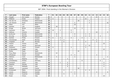| P  | Last name    | First name    | Federation  | $\mathbf T$ | 01 | 02 | 03             | 04             | 05 | 06           | 07             | 08 | 09 | 10           | 11             | $12$ | 13             | 14 | 15 | 16             |
|----|--------------|---------------|-------------|-------------|----|----|----------------|----------------|----|--------------|----------------|----|----|--------------|----------------|------|----------------|----|----|----------------|
| 33 | Haugen       | Ann Louise    | Norway      | 21          |    |    |                |                |    |              |                |    |    |              |                |      | 21             |    |    |                |
| 34 | Pöllänen     | Krista        | Finland     | 21          | 6  |    |                |                |    |              |                |    |    | 15           |                |      |                |    |    |                |
| 35 | Van der tol  | Ghislaine     | Netherlands | 20          |    |    |                |                |    |              |                | 18 |    |              | 2              |      |                |    |    |                |
| 36 | van Hemert   | Paula         | Netherlands | 19          |    |    |                |                |    |              | 5              |    |    |              | $\overline{4}$ |      |                |    |    | 10             |
| 37 | Abela        | Sue           | Malta       | 18          |    |    |                |                |    |              | 18             |    |    |              |                |      |                |    |    |                |
| 38 | Gardner      | Lisa          | England     | 18          |    | 18 |                |                |    |              |                |    |    |              |                |      |                |    |    |                |
| 39 | Knopp        | Nicole        | Germany     | 18          |    |    |                |                |    |              | 15             |    | 3  |              |                |      |                |    |    |                |
| 40 | Santonen     | Mari          | Finland     | 18          | 10 |    | $\overline{2}$ |                |    | 6            |                |    |    |              |                |      |                |    |    |                |
| 41 | Sofkova      | Victoria      | Sweden      | 18          |    |    |                |                |    | 3            |                |    |    |              |                |      | 12             |    |    | 3              |
| 42 | de Bruine    | <b>Brenda</b> | Netherlands | 17          |    | 6  |                |                |    |              | 6              |    |    | $\mathbf{1}$ | $\overline{4}$ |      |                |    |    |                |
| 43 | de Jong      | Marieke       | Netherlands | 17          |    | 5  |                |                |    |              | $\overline{2}$ |    |    | 3            | $\overline{4}$ |      |                | 3  |    |                |
| 44 | Kantola      | Piritta       | Finland     | 17          | 6  |    | 3              |                |    | 4            |                |    | 4  |              |                |      |                |    |    |                |
| 45 | Thorstensen  | Heidi         | Norway      | 17          |    |    | 2              | $\overline{4}$ |    |              |                | 5  |    |              |                | 4    | $\overline{2}$ |    |    |                |
| 46 | Torgesen     | Pat           | Norway      | 16          |    |    |                | 6              |    |              |                |    |    | 5            |                |      | 5              |    |    |                |
| 47 | Fasano       | Teresa        | Italy       | 15          |    |    |                |                |    |              |                |    |    |              |                |      |                |    | 15 |                |
| 48 | Larsen       | Hanne         | Denmark     | 15          |    |    |                |                |    |              |                |    |    | 3            | 12             |      |                |    |    |                |
| 49 | Pulliainen   | Leena         | Finland     | 14          | 6  |    |                |                |    | 3            |                |    |    | 5            |                |      |                |    |    |                |
| 50 | Di Benedetto | Helga         | Italy       | $12$        |    |    |                |                |    |              |                |    |    |              |                |      |                |    | 12 |                |
| 51 | Nuñez        | Paqui         | Spain       | $12$        |    |    |                |                |    |              |                | 12 |    |              |                |      |                |    |    |                |
| 52 | Pirau-Maas   | Bianca        | Netherlands | 12          |    | 12 |                |                |    |              |                |    |    |              |                |      |                |    |    |                |
| 53 | Alfredsson   | Diana         | Sweden      | 11          |    |    |                |                |    | 3            | 5              |    |    |              |                |      | 3              |    |    |                |
| 54 | Dekkers      | Carla         | Netherlands | 11          |    | 5  |                |                |    |              | $\overline{4}$ |    |    |              |                |      |                |    |    | $\overline{2}$ |
| 55 | Ferina       | Roberta       | Italy       | 11          |    |    |                |                | 5  |              |                |    |    |              |                |      |                |    | 6  |                |
| 56 | Jonasdowsky  | Andrea        | Germany     | 11          |    |    |                |                |    |              |                |    | 6  |              |                |      |                | 5  |    |                |
| 57 | Cavazzini    | Laura         | Italy       | 10          |    |    | 1              |                | 5  |              |                |    |    |              |                |      |                |    | 4  |                |
| 58 | Esposito     | Daniela       | Italy       | 10          |    |    |                |                | 6  |              |                |    |    |              |                |      |                |    | 4  |                |
| 59 | Fusco        | Raffaella     | Italy       | 10          |    |    |                |                | 6  |              |                |    |    |              |                |      |                |    | 4  |                |
| 60 | Gaillard     | Laurence      | France      | 10          |    |    |                |                |    |              |                | 10 |    |              |                |      |                |    |    |                |
| 61 | Kristiansen  | Mette         | Denmark     | 10          |    |    |                | $\overline{4}$ |    |              |                |    |    | 2            | $\overline{4}$ |      |                |    |    |                |
| 62 | Larsen       | Rebecca       | Sweden      | 10          |    |    |                |                |    | $\mathbf{1}$ | $\overline{2}$ |    |    |              |                |      | 3              |    |    | 4              |
| 63 | Olsson       | Susanne       | Sweden      | 10          |    |    |                | 5              |    |              | $\mathbf 5$    |    |    |              |                |      |                |    |    |                |
| 64 | Roiati       | Chiara        | Italy       | 10          |    |    |                |                |    |              |                |    |    |              |                |      |                |    | 10 |                |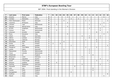| P  | Last name      | First name        | Federation  | $\mathbf T$             | 01 | 02             | 03             | 04             | 05 | 06             | 07 | 08 | 09             | 10             | 11             | 12 | 13 | 14             | 15 | 16             |
|----|----------------|-------------------|-------------|-------------------------|----|----------------|----------------|----------------|----|----------------|----|----|----------------|----------------|----------------|----|----|----------------|----|----------------|
| 65 | Amenta         | Marina            | Italy       | 9                       |    |                |                |                | 3  |                |    |    |                |                |                |    |    |                | 6  |                |
| 66 | Combes         | Alexandra         | France      | 9                       |    |                |                |                |    | 4              |    | 5  |                |                |                |    |    |                |    |                |
| 67 | Holm Rasmussen | Rikke             | Denmark     | 9                       |    |                |                | $\overline{4}$ |    |                |    |    |                | $\mathbf{1}$   | $\overline{1}$ |    |    |                |    | 3              |
| 68 | Iacomino       | M.Rosaria         | Italy       | 9                       |    |                |                |                | 4  |                |    |    |                |                |                |    |    |                | 5  |                |
| 69 | Lenssen        | Inge              | Netherlands | 9                       |    | 5              |                |                |    |                |    |    |                |                | $\overline{1}$ |    |    | 3              |    |                |
| 70 | Sgrosso        | MariaCristina     | Italy       | 9                       |    |                |                |                | 4  |                |    |    |                |                |                |    |    |                | 5  |                |
| 71 | de Win         | Angelique         | Netherlands | 8                       |    |                |                |                |    |                |    |    |                |                | 3              |    |    | 5              |    |                |
| 72 | Greiner        | <b>Ross</b>       | Netherlands | 8                       |    | $\overline{2}$ |                |                |    |                |    |    |                |                |                |    |    | 6              |    |                |
| 73 | Johanson       | Annette           | Sweden      | 8                       |    |                |                |                |    |                |    |    |                |                |                |    | 6  |                |    | $\overline{2}$ |
| 74 | Rizzo          | Giovanna          | Italy       | 8                       |    |                |                |                | 5  |                |    |    |                |                |                |    |    |                | 3  |                |
| 75 | Uhlich         | Sonja             | Germany     | 8                       |    |                |                |                |    |                |    |    | 4              |                | $\overline{2}$ |    |    | $\overline{2}$ |    |                |
| 76 | Adkins         | Laressa           | Germany     | $\overline{\mathbf{z}}$ |    |                |                |                |    |                |    |    |                |                | 6              |    |    | $\mathbf{1}$   |    |                |
| 77 | Bjercke        | Cathrine          | Norway      | $\overline{\mathbf{z}}$ |    |                |                |                |    |                |    |    |                | $\mathbf{1}$   |                |    | 6  |                |    |                |
| 78 | Edvardsen      | Heidi             | Norway      | $\overline{7}$          |    |                |                | $\overline{4}$ |    |                |    |    |                |                |                |    | 3  |                |    |                |
| 79 | Einola         | Tiia              | Finland     | $\overline{7}$          | 3  |                | $\overline{4}$ |                |    |                |    |    |                |                |                |    |    |                |    |                |
| 80 | Glendert       | Malin             | Sweden      | $\overline{\mathbf{z}}$ |    |                |                |                |    | $\overline{2}$ |    |    |                |                |                |    |    |                |    | 5              |
| 81 | Haugerud       | <b>Tove Mette</b> | Norway      | $\overline{\mathbf{z}}$ |    |                |                |                |    |                |    |    |                | $\overline{2}$ |                |    | 5  |                |    |                |
| 82 | Larsen         | Sahra             | Denmark     | $\overline{\mathbf{z}}$ |    |                |                | 5              |    |                |    |    |                |                | 2              |    |    |                |    |                |
| 83 | Maaswinkel     | Priscilla         | Netherlands | $\overline{\mathbf{z}}$ |    | 4              |                |                |    |                |    |    |                |                | 3              |    |    |                |    |                |
| 84 | Visser         | Jolanda           | Netherlands | $\overline{\mathbf{z}}$ |    | 3              |                |                |    |                |    |    |                |                | $\overline{4}$ |    |    |                |    |                |
| 85 | Allsebrook     | Jo                | England     | 6                       |    |                |                |                |    |                |    |    |                |                |                | 6  |    |                |    |                |
| 86 | Bergmann       | Liane             | Germany     | 6                       |    |                |                |                |    |                |    |    | 6              |                |                |    |    |                |    |                |
| 87 | Broinger       | Jaqueline         | Austria     | 6                       |    |                |                |                |    |                |    |    | $\overline{2}$ |                |                |    |    | $\overline{4}$ |    |                |
| 88 | Eckell         | Irene Kragh       | Norway      | $\boldsymbol{6}$        |    |                |                |                |    |                |    |    |                |                |                |    | 3  |                |    | 3              |
| 89 | Eliasson       | Josefine          | Sweden      | 6                       |    | 6              |                |                |    |                |    |    |                |                |                |    |    |                |    |                |
| 90 | Gschrey        | Stephanie         | Germany     | 6                       |    |                |                |                |    |                |    |    | 4              |                |                |    |    | 2              |    |                |
| 91 | Heneskär       | Ellinor           | Sweden      | 6                       |    |                |                |                |    |                | 6  |    |                |                |                |    |    |                |    |                |
| 92 | John           | Lisa              | England     | $\boldsymbol{6}$        |    |                |                |                |    |                |    |    |                |                |                | 6  |    |                |    |                |
| 93 | Jowsey         | Katie             | England     | 6                       |    |                |                |                |    |                |    |    |                |                |                | 6  |    |                |    |                |
| 94 | Kemppainen     | Tuula             | Finland     | 6                       |    |                |                |                |    | 6              |    |    |                |                |                |    |    |                |    |                |
| 95 | Kyllönen       | Katja             | Finland     | 6                       |    |                |                |                |    |                |    |    |                |                |                |    |    |                |    | 6              |
| 96 | Matelli        | Katia             | Italy       | 6                       |    |                |                |                |    |                |    |    |                |                |                |    |    |                | 6  |                |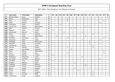| P   | Last name     | First name | Federation  | $\mathsf{T}$ | 01             | 02           | 03             | 04 | 05             | 06             | 07             | 08             | 09             | 10 | 11           | 12 | 13 | 14             | 15             | 16 |
|-----|---------------|------------|-------------|--------------|----------------|--------------|----------------|----|----------------|----------------|----------------|----------------|----------------|----|--------------|----|----|----------------|----------------|----|
| 97  | Mattson-Baard | Anna       | Sweden      | 6            |                |              |                |    |                |                |                |                |                |    |              |    |    |                |                | 6  |
| 98  | Morra         | Alessandra | Italy       | 6            |                |              |                |    | 6              |                |                |                |                |    |              |    |    |                |                |    |
| 99  | Paoli         | Luciana    | Italy       | 6            |                |              |                |    | 4              |                |                |                |                |    |              |    |    |                | 2              |    |
| 100 | Pesek         | Beatrix    | Hungary     | 6            |                |              |                |    |                |                |                |                |                |    |              |    |    | 6              |                |    |
| 101 | Strömberg     | Jaana      | Finland     | 6            |                |              | 6              |    |                |                |                |                |                |    |              |    |    |                |                |    |
| 102 | van der List  | Wendy      | Netherlands | 6            |                | $\mathbf{1}$ |                |    |                |                |                |                |                | 2  | 3            |    |    |                |                |    |
| 103 | Aalto         | Pauliina   | Finland     | 6            |                |              |                |    |                | $\overline{2}$ | 4              |                |                |    |              |    |    |                |                |    |
| 104 | Blagova       | Elena      | Russia      | 5            | 3              |              | $\overline{2}$ |    |                |                |                |                |                |    |              |    |    |                |                |    |
| 105 | Hanzlovska    | Petra B.   | Czech       | 5            |                |              |                | 3  |                |                |                |                | $\overline{a}$ |    |              |    |    |                |                |    |
| 106 | <b>Byrne</b>  | Karen      | England     | 5            |                |              |                |    |                |                |                |                |                |    |              | 5  |    |                |                |    |
| 107 | Cramer        | Aisha      | Netherlands | 5            |                | $\mathbf{3}$ |                |    |                |                | $\mathbf{1}$   |                |                | 1  |              |    |    |                |                |    |
| 108 | De Marco      | Francesca  | Italy       | 5            |                |              |                |    | $\overline{2}$ |                |                |                |                |    |              |    |    |                | 3              |    |
| 109 | Hanusova      | Dana       | Czech       | 5            |                |              |                |    |                |                |                |                | 3              |    |              |    |    | $\overline{2}$ |                |    |
| 110 | Hazeleger     | Inge       | Netherlands | 5            |                |              |                |    |                |                |                |                |                |    | 5            |    |    |                |                |    |
| 111 | Herberle      | Nicole     | Germany     | 5            |                |              |                |    |                |                |                |                |                |    | $\mathbf{1}$ |    |    | $\overline{4}$ |                |    |
| 112 | Hershkovitz   | Nufar      | Israel      | 5            |                |              |                |    |                |                |                |                |                |    |              | 5  |    |                |                |    |
| 113 | Ioannou       | Georgia    | Greece      | 5            |                |              |                |    | $\overline{2}$ |                |                |                |                |    |              | 3  |    |                |                |    |
| 114 | Jensen        | Anja Ginge | Denmark     | 5            |                |              |                |    |                | 5              |                |                |                |    |              |    |    |                |                |    |
| 115 | Maas          | Bianca     | Netherlands | 5            |                |              |                |    |                |                |                |                |                |    |              |    |    |                | 5              |    |
| 116 | Perna         | Fiorella   | Italy       | 5            |                |              |                |    | 3              |                |                |                |                |    |              |    |    |                | $\overline{2}$ |    |
| 117 | Schwarz       | Patricia   | Finland     | 5            | 5              |              |                |    |                |                |                |                |                |    |              |    |    |                |                |    |
| 118 | Stelcigova    | Stepanska  | Czech       | 5            |                |              |                |    |                |                |                |                | 5              |    |              |    |    |                |                |    |
| 119 | Van Boom      | Christine  | Belgium     | 5            |                |              |                |    |                |                |                |                |                |    |              |    |    | 5              |                |    |
| 120 | Zavialova     | Inna       | Russia      | 5            | $\overline{4}$ |              | $\mathbf{1}$   |    |                |                |                |                |                |    |              |    |    |                |                |    |
| 121 | Anastasi      | Melissa    | Malta       | 4            |                |              |                |    |                |                | 4              |                |                |    |              |    |    |                |                |    |
| 122 | Andersen      | Grethe     | Norway      | 4            |                |              |                |    |                |                |                |                |                | 4  |              |    |    |                |                |    |
| 123 | Ankerdal      | Connie     | Denmark     | 4            |                |              |                |    |                |                |                |                |                | 4  |              |    |    |                |                |    |
| 124 | Beavis        | Hayley     | England     | 4            |                |              |                |    |                |                | $\overline{4}$ |                |                |    |              |    |    |                |                |    |
| 125 | <b>Brzica</b> | Rosta      | Czech       | 4            |                |              |                |    |                |                |                | $\overline{4}$ |                |    |              |    |    |                |                |    |
| 126 | Carlin        | Lorna      | England     | 4            |                |              |                |    |                |                |                |                |                |    |              | 4  |    |                |                |    |
| 127 | Cashe         | Lorraine   | Malta       | 4            |                |              |                |    |                |                |                |                |                |    |              | 4  |    |                |                |    |
| 128 | Constantine   | Karen      | England     | 4            |                |              |                |    |                |                |                |                |                |    |              | 4  |    |                |                |    |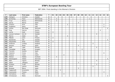| P   | Last name        | First name | Federation  | $\mathsf{T}$           | 01             | 02             | 03 | 04             | 05             | 06             | 07 | 08             | 09 | 10 | 11           | 12             | 13           | 14             | 15             | 16             |
|-----|------------------|------------|-------------|------------------------|----------------|----------------|----|----------------|----------------|----------------|----|----------------|----|----|--------------|----------------|--------------|----------------|----------------|----------------|
| 129 | Dahlgren         | Christina  | Sweden      | 4                      |                |                |    |                |                | $\overline{4}$ |    |                |    |    |              |                |              |                |                |                |
| 130 | de Koning        | Fiona      | Netherlands | 4                      |                | 3              |    |                |                |                |    |                |    |    | $\mathbf{1}$ |                |              |                |                |                |
| 131 | Fruyt            | Bianca     | Netherlands | 4                      |                | $\overline{4}$ |    |                |                |                |    |                |    |    |              |                |              |                |                |                |
| 132 | Garcia           | Marisa     | Spain       | 4                      |                |                |    |                |                |                |    | $\overline{4}$ |    |    |              |                |              |                |                |                |
| 133 | Grassini         | Enza       | Italy       | 4                      |                |                |    |                | $\overline{2}$ |                |    |                |    |    |              |                |              |                | 2              |                |
| 134 | Guglielmo        | Elena      | Italy       | 4                      |                |                |    |                |                |                |    |                |    |    |              |                |              |                | $\overline{4}$ |                |
| 135 | Jensen           | Mai Ginge  | Denmark     | $\boldsymbol{\Lambda}$ |                |                |    |                |                |                |    |                |    |    |              |                |              |                |                | $\overline{4}$ |
| 136 | Klug             | Patricia   | Austria     | 4                      |                |                |    |                |                |                |    |                |    |    |              |                |              | $\overline{4}$ |                |                |
| 137 | Larnia           | Heidi      | Finland     | 4                      | $\overline{4}$ |                |    |                |                |                |    |                |    |    |              |                |              |                |                |                |
| 138 | Larsson-Carlsson | Ann-Ki     | Sweden      | 4                      |                |                |    |                |                |                |    |                |    |    |              |                | 4            |                |                |                |
| 139 | Marino           | Adele      | Italy       | 4                      |                |                |    |                | 4              |                |    |                |    |    |              |                |              |                |                |                |
| 140 | Mäkelä           | Jenni      | Finland     | 4                      | $\overline{4}$ |                |    |                |                |                |    |                |    |    |              |                |              |                |                |                |
| 141 | Nordström        | Ulla       | Sweden      | 4                      |                |                |    |                |                |                |    |                |    |    |              |                |              |                |                | $\overline{4}$ |
| 142 | Pohjanlahti      | Anita      | Finland     | 4                      | $\overline{4}$ |                |    |                |                |                |    |                |    |    |              |                |              |                |                |                |
| 143 | Pridmore         | Lindsay    | England     | 4                      |                |                |    |                |                |                |    |                |    |    |              | $\overline{4}$ |              |                |                |                |
| 144 | Romero           | Roser      | Spain       | 4                      |                |                |    |                |                |                |    | $\overline{4}$ |    |    |              |                |              |                |                |                |
| 145 | Rødli            | Inger      | Norway      | 4                      |                |                |    |                |                |                |    |                |    |    |              |                | 4            |                |                |                |
| 146 | Tomajága         | Kinga      | Hungary     | 4                      |                |                |    |                |                |                |    |                | 4  |    |              |                |              |                |                |                |
| 147 | Torrents         | Sandra     | Spain       | $\boldsymbol{4}$       |                |                |    |                |                |                |    | $\overline{4}$ |    |    |              |                |              |                |                |                |
| 148 | Valentini        | Cinzia     | Italy       | 4                      |                |                |    |                |                |                |    |                |    |    |              |                |              |                | $\overline{4}$ |                |
| 149 | Vinjova          | Ivana      | Czech       | 4                      |                |                |    | $\overline{4}$ |                |                |    |                |    |    |              |                |              |                |                |                |
| 150 | Watson           | Debbie     | Scotland    | 4                      |                | $\overline{4}$ |    |                |                |                |    |                |    |    |              |                |              |                |                |                |
| 151 | Westergaard      | Vibeke     | Denmark     | 4                      |                |                |    |                |                |                |    |                |    |    |              |                |              |                |                | $\overline{4}$ |
| 152 | Øien             | Ingunn     | Norway      | 4                      |                |                |    |                |                |                |    |                |    |    |              |                | 4            |                |                |                |
| 153 | Albert           | Milagros   | Spain       | 3                      |                |                |    |                |                |                |    | 3              |    |    |              |                |              |                |                |                |
| 154 | Arnesen          | Trude      | Norway      | 3                      |                |                |    |                |                |                |    |                |    |    |              |                | $\mathbf{3}$ |                |                |                |
| 155 | Attard           | Joanna     | Malta       | 3                      |                |                |    |                |                |                |    |                |    |    |              | $\mathfrak{Z}$ |              |                |                |                |
| 156 | <b>Burgues</b>   | Merce      | Spain       | 3                      |                |                |    |                |                |                |    | 3              |    |    |              |                |              |                |                |                |
| 157 | Capponcelli      | Annamaria  | Italy       | 3                      |                |                | 3  |                |                |                |    |                |    |    |              |                |              |                |                |                |
| 158 | Carannante       | Tiziana    | Malta       | 3                      |                |                |    |                |                |                |    |                |    |    |              |                |              |                | $\mathbf{3}$   |                |
| 159 | Cermakova        | Petra      | Czech       | 3                      |                |                |    | $\mathbf{3}$   |                |                |    |                |    |    |              |                |              |                |                |                |
| 160 | Christiansen     | Mette      | Denmark     | 3                      |                |                |    |                |                |                |    |                |    |    |              |                |              |                |                | 3              |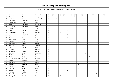| P   | Last name       | First name    | Federation  | $\mathsf{T}$            | 01 | 02             | 03             | 04 | 05             | 06 | 07             | 08             | 09 | 10 | 11 | 12 | 13             | 14           | 15             | 16 |
|-----|-----------------|---------------|-------------|-------------------------|----|----------------|----------------|----|----------------|----|----------------|----------------|----|----|----|----|----------------|--------------|----------------|----|
| 161 | Copley          | Flo           | Jersey      | 3                       |    |                |                |    |                |    | 3              |                |    |    |    |    |                |              |                |    |
| 162 | de Bruine       | Diana         | Netherlands | 3                       |    | 3              |                |    |                |    |                |                |    |    |    |    |                |              |                |    |
| 163 | Del Buono       | Francesca     | Italy       | 3                       |    |                |                |    |                |    |                |                |    |    |    |    |                |              | 3              |    |
| 164 | Demanuele       | Pamela        | Malta       | 3                       |    |                |                |    |                |    | 3              |                |    |    |    |    |                |              |                |    |
| 165 | Frisoni         | Antonella     | San Marino  | 3                       |    |                |                |    | $\overline{2}$ |    |                |                |    |    |    |    |                |              | $\mathbf{1}$   |    |
| 166 | Graziano        | Antonella     | Italy       | 3                       |    |                |                |    |                |    |                |                |    |    |    |    |                |              | $\mathfrak{Z}$ |    |
| 167 | Itzhak          | Tali          | Israel      | 3                       |    |                |                |    |                |    | $\mathfrak{Z}$ |                |    |    |    |    |                |              |                |    |
| 168 | Izzo            | Carmen        | Italy       | 3                       |    |                |                |    | 3              |    |                |                |    |    |    |    |                |              |                |    |
| 169 | Johansson       | Karin         | Sweden      | 3                       |    |                | 3              |    |                |    |                |                |    |    |    |    |                |              |                |    |
| 170 | Khun            | Hildegrad     | Italy       | 3                       |    |                |                |    | 3              |    |                |                |    |    |    |    |                |              |                |    |
| 171 | Manninen        | Heidi         | Finland     | 3                       | 3  |                |                |    |                |    |                |                |    |    |    |    |                |              |                |    |
| 172 | Marino          | Teresa        | Italy       | 3                       |    |                |                |    | 3              |    |                |                |    |    |    |    |                |              |                |    |
| 173 | Morávková       | Helena        | Czech       | 3                       |    |                |                |    |                |    |                |                | 2  |    |    |    |                | $\mathbf{1}$ |                |    |
| 174 | Perales         | Pilar         | Spain       | $\mathbf{3}$            |    |                |                |    |                |    |                | 3              |    |    |    |    |                |              |                |    |
| 175 | Povaljuhhina    | Jelena        | Estonia     | 3                       | 3  |                |                |    |                |    |                |                |    |    |    |    |                |              |                |    |
| 176 | Reusing         | <b>Britta</b> | Denmark     | 3                       |    |                |                |    |                |    |                |                | 3  |    |    |    |                |              |                |    |
| 177 | Sala            | Gloria        | Spain       | 3                       |    |                |                |    |                |    |                | 3              |    |    |    |    |                |              |                |    |
| 178 | Stighall        | Helene        | Sweden      | $\mathbf{3}$            |    |                |                |    |                |    | 3              |                |    |    |    |    |                |              |                |    |
| 179 | Stutzmann       | Kerstin       | Germany     | 3                       |    |                |                |    |                |    |                |                | 3  |    |    |    |                |              |                |    |
| 180 | Sulkanen        | Lena          | Denmark     | 3                       |    |                |                |    |                |    |                |                |    | 3  |    |    |                |              |                |    |
| 181 | Tedham          | Pia           | Sweden      | 3                       |    |                |                | 3  |                |    |                |                |    |    |    |    |                |              |                |    |
| 182 | Theissen        | Tanja         | Germany     | 3                       |    |                |                |    |                |    |                |                |    |    | 3  |    |                |              |                |    |
| 183 | van Regenmortel | Yolanda       | Belgium     | 3                       |    | $\mathfrak{Z}$ |                |    |                |    |                |                |    |    |    |    |                |              |                |    |
| 184 | Zorba           | Alexandra     | Greece      | 3                       |    |                |                |    |                |    |                |                |    |    |    | 3  |                |              |                |    |
| 185 | Aaltonen        | Laura         | Finland     | 3                       | 3  |                |                |    |                |    |                |                |    |    |    |    |                |              |                |    |
| 186 | Alvarez         | Angeles       | Spain       | $\overline{\mathbf{2}}$ |    |                |                |    |                |    |                | 2              |    |    |    |    |                |              |                |    |
| 187 | Bauer           | Karin         | Germany     | $\overline{\mathbf{2}}$ |    |                |                |    |                |    | $\overline{2}$ |                |    |    |    |    |                |              |                |    |
| 188 | Canosa          | Marta         | Spain       | $\overline{2}$          |    |                |                |    |                |    |                | $\overline{2}$ |    |    |    |    |                |              |                |    |
| 189 | Curcio          | Anna          | Italy       | $\mathbf{2}$            |    |                |                |    | $\overline{2}$ |    |                |                |    |    |    |    |                |              |                |    |
| 190 | Ferrante        | Marica        | Italy       | $\overline{\mathbf{2}}$ |    |                |                |    |                |    |                |                |    |    |    |    |                |              | $\overline{2}$ |    |
| 191 | Fosseide        | Grethe        | Norway      | $\overline{\mathbf{2}}$ |    |                |                |    |                |    |                |                |    |    |    |    | $\overline{2}$ |              |                |    |
| 192 | Georgiadou      | Katerina      | Greece      | $\overline{\mathbf{2}}$ |    |                | $\overline{2}$ |    |                |    |                |                |    |    |    |    |                |              |                |    |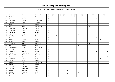| P   | Last name       | First name   | Federation  | $\mathsf{T}$            | 01             | 02             | 03           | 04 | 05           | 06 | 07             | 08           | 09             | 10 | 11 | 12 | 13             | 14             | 15           | 16             |
|-----|-----------------|--------------|-------------|-------------------------|----------------|----------------|--------------|----|--------------|----|----------------|--------------|----------------|----|----|----|----------------|----------------|--------------|----------------|
| 193 | Gref            | Lena         | Sweden      | $\overline{2}$          |                |                |              |    |              |    | $\overline{2}$ |              |                |    |    |    |                |                |              |                |
| 194 | Gunnerud        | Pernille     | Norway      | $\overline{2}$          |                |                |              |    |              |    |                |              |                |    |    |    | $\overline{2}$ |                |              |                |
| 195 | Haneveld        | Noëlle       | Netherlands | $\overline{2}$          |                | 2              |              |    |              |    |                |              |                |    |    |    |                |                |              |                |
| 196 | Haugen          | Linda S.     | Norway      | $\overline{2}$          |                |                |              |    |              |    |                |              |                |    |    |    | $\overline{2}$ |                |              |                |
| 197 | Kerbs           | Kira         | Finland     | $\overline{2}$          | $\overline{2}$ |                |              |    |              |    |                |              |                |    |    |    |                |                |              |                |
| 198 | Kok             | Wendy        | Netherlands | $\mathbf{2}$            |                |                |              |    |              |    |                |              |                |    | 2  |    |                |                |              |                |
| 199 | Lönnroth        | Daniela      | Finland     | $\overline{2}$          | 2              |                |              |    |              |    |                |              |                |    |    |    |                |                |              |                |
| 200 | Manninen        | Nina         | Finland     | 2                       | $\overline{2}$ |                |              |    |              |    |                |              |                |    |    |    |                |                |              |                |
| 201 | Maresova        | Jana         | Czech       | $\overline{2}$          |                |                |              |    |              |    |                |              | $\overline{2}$ |    |    |    |                |                |              |                |
| 202 | Mas             | Rosa         | Spain       | $\overline{2}$          |                |                |              |    |              |    |                | 2            |                |    |    |    |                |                |              |                |
| 203 | Mirschel        | Andrea       | Germany     | $\overline{\mathbf{c}}$ |                | $\overline{2}$ |              |    |              |    |                |              |                |    |    |    |                |                |              |                |
| 204 | Monsen          | Janne        | Norway      | $\overline{2}$          |                |                |              |    |              |    |                |              |                |    |    |    | $\overline{2}$ |                |              |                |
| 205 | Norzt           | Evelin       | Austria     | $\overline{2}$          |                |                |              |    |              |    |                |              |                |    |    |    |                | $\overline{2}$ |              |                |
| 206 | Nurmi           | Reija        | Finland     | $\overline{\mathbf{c}}$ | 2              |                |              |    |              |    |                |              |                |    |    |    |                |                |              |                |
| 207 | Ohlendorf       | Nadine       | Germany     | $\overline{\mathbf{c}}$ |                |                |              |    |              |    |                |              |                |    | 2  |    |                |                |              |                |
| 208 | Parra           | Matilde      | Spain       | $\overline{2}$          |                |                |              |    |              |    |                | 2            |                |    |    |    |                |                |              |                |
| 209 | Pascoal-Blom    | Farida       | Netherlands | $\overline{\mathbf{c}}$ |                |                |              |    |              |    | $\overline{2}$ |              |                |    |    |    |                |                |              |                |
| 210 | Perales         | Irene        | Spain       | $\overline{\mathbf{c}}$ |                |                |              |    |              |    |                | 2            |                |    |    |    |                |                |              |                |
| 211 | Pettersen       | Catrine      | Norway      | $\mathbf{2}$            |                |                |              |    |              |    |                |              |                |    |    |    | $\mathbf 1$    |                |              | $\mathbf{1}$   |
| 212 | Romano          | Margherita   | Italy       | $\overline{2}$          |                |                |              |    |              |    |                |              |                |    |    |    |                |                | 2            |                |
| 213 | Roxana Nitu     | Daniela      | Romania     | $\overline{\mathbf{c}}$ |                |                |              |    |              |    |                |              | $\overline{a}$ |    |    |    |                |                |              |                |
| 214 | Sjöström        | Sofie        | Sweden      | $\overline{2}$          |                |                |              |    |              |    |                |              |                |    |    |    |                |                |              | $\overline{2}$ |
| 215 | Suchanek        | Gabriele     | Austria     | 2                       |                |                |              |    |              |    |                |              |                |    |    |    |                | $\overline{2}$ |              |                |
| 216 | Vuorio          | Elina        | Finland     | $\overline{2}$          | $\overline{2}$ |                |              |    |              |    |                |              |                |    |    |    |                |                |              |                |
| 217 | Zwart           | Debbie       | Netherlands | $\overline{2}$          |                | $\overline{2}$ |              |    |              |    |                |              |                |    |    |    |                |                |              |                |
| 218 | Østlund         | <b>Britt</b> | Norway      | $\overline{2}$          |                |                |              |    |              |    |                |              |                | 2  |    |    |                |                |              |                |
| 219 | Benvenuti       | Gabriele     | Italy       | $\mathbf{1}$            |                |                | $\mathbf{1}$ |    |              |    |                |              |                |    |    |    |                |                |              |                |
| 220 | Bonello         | Anne Marie   | Italy       | 1                       |                |                |              |    |              |    |                |              |                |    |    |    |                |                | $\mathbf{1}$ |                |
| 221 | <b>Buzzelli</b> | Daniela      | Italy       | $\mathbf{1}$            |                |                |              |    | $\mathbf{1}$ |    |                |              |                |    |    |    |                |                |              |                |
| 222 | Carneiro        | Rafaela      | Spain       | $\mathbf 1$             |                |                |              |    |              |    |                | $\mathbf{1}$ |                |    |    |    |                |                |              |                |
| 223 | Carrubba        | Carmela      | Italy       | 1                       |                |                |              |    | $\mathbf{1}$ |    |                |              |                |    |    |    |                |                |              |                |
| 224 | Chasa           | Lorreine     | Malta       | $\mathbf{1}$            |                |                |              |    |              |    |                |              |                |    |    |    |                |                | $\mathbf{1}$ |                |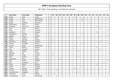| P   | Last name     | First name | Federation  | $\mathsf{T}$ | 01           | 02           | 03           | 04 | 05 | 06 | 07           | 08           | 09           | 10 | 11           | 12 | 13           | 14           | 15           | 16           |
|-----|---------------|------------|-------------|--------------|--------------|--------------|--------------|----|----|----|--------------|--------------|--------------|----|--------------|----|--------------|--------------|--------------|--------------|
| 225 | Cohen         | Yonit      | Israel      | 1            |              |              |              |    |    |    | $\mathbf{1}$ |              |              |    |              |    |              |              |              |              |
| 226 | de Bel        | Amy        | Netherlands | $\mathbf{1}$ |              |              |              |    |    |    |              |              | $\mathbf{1}$ |    |              |    |              |              |              |              |
| 227 | de Bel        | Inge       | Netherlands | 1            |              |              |              |    |    |    |              |              | $\mathbf{1}$ |    |              |    |              |              |              |              |
| 228 | Donde         | Elsebeth   | Denmark     | 1            |              |              |              |    |    |    |              |              |              |    | $\mathbf{1}$ |    |              |              |              |              |
| 229 | Dubovskaya    | Alena      | Russia      | $\mathbf 1$  | $\mathbf{1}$ |              |              |    |    |    |              |              |              |    |              |    |              |              |              |              |
| 230 | Folkestad     | Catrine M. | Norway      | $\mathbf 1$  |              |              |              |    |    |    |              |              |              |    |              |    | 1            |              |              |              |
| 231 | Frost         | Greta      | Poland      | 1            |              |              |              |    |    |    |              |              |              |    |              |    |              | $\mathbf{1}$ |              |              |
| 232 | Gales         | Anne       | Denmark     | $\mathbf 1$  |              |              |              |    |    |    |              |              |              |    |              |    |              |              |              | $\mathbf{1}$ |
| 233 | Gustafzon     | Tina       | Sweden      | 1            |              |              |              |    |    |    |              |              |              |    |              |    | -1           |              |              |              |
| 234 | Harbáýková    | Markéta    | Czech       | $\mathbf 1$  |              |              |              |    |    |    |              |              | $\mathbf{1}$ |    |              |    |              |              |              |              |
| 235 | Helldén       | Sanne      | Sweden      | $\mathbf 1$  |              |              |              |    |    |    |              |              |              |    |              |    |              |              |              | $\mathbf{1}$ |
| 236 | Miguel        | Isabel H.  | Spain       | $\mathbf{1}$ |              |              |              |    |    |    |              | $\mathbf{1}$ |              |    |              |    |              |              |              |              |
| 237 | Impola        | Hannele    | Finland     | $\mathbf{1}$ | $\mathbf{1}$ |              |              |    |    |    |              |              |              |    |              |    |              |              |              |              |
| 238 | Jentschke     | Melanie    | Germany     | $\mathbf 1$  |              |              |              |    |    |    |              |              |              |    |              |    |              | $\mathbf{1}$ |              |              |
| 239 | Kivelou       | Evangelia  | Greece      | $\mathbf 1$  |              |              |              |    |    |    |              |              | $\mathbf{1}$ |    |              |    |              |              |              |              |
| 240 | Kurvers       | Sindy      | Netherlands | $\mathbf 1$  |              |              |              |    |    |    | $\mathbf{1}$ |              |              |    |              |    |              |              |              |              |
| 241 | Lislien       | Monica     | Norway      | $\mathbf 1$  |              |              |              |    |    |    |              |              |              |    |              |    | $\mathbf 1$  |              |              |              |
| 242 | Loos          | Gabriele   | Austria     | $\mathbf 1$  |              |              |              |    |    |    |              |              |              |    |              |    |              | $\mathbf{1}$ |              |              |
| 243 | Lopez         | Angels     | Spain       | 1            |              |              |              |    |    |    |              | $\mathbf{1}$ |              |    |              |    |              |              |              |              |
| 244 | Mähönen       | Mia        | Finland     | $\mathbf 1$  | $\mathbf{1}$ |              |              |    |    |    |              |              |              |    |              |    |              |              |              |              |
| 245 | Mäkelä        | Sonja      | Finland     | 1            | $\mathbf 1$  |              |              |    |    |    |              |              |              |    |              |    |              |              |              |              |
| 246 | Oliva         | Sandra     | Spain       | $\mathbf 1$  |              |              |              |    |    |    |              | $\mathbf{1}$ |              |    |              |    |              |              |              |              |
| 247 | Poulitsidou   | Elena      | Greece      | 1            |              |              | $\mathbf{1}$ |    |    |    |              |              |              |    |              |    |              |              |              |              |
| 248 | Roth          | Emelie     | Sweden      | $\mathbf 1$  |              |              |              |    |    |    |              |              |              |    |              |    |              |              |              | $\mathbf{1}$ |
| 249 | Said          | Stephanie  | Italy       | $\mathbf 1$  |              |              |              |    |    |    |              |              |              |    |              |    |              |              | $\mathbf{1}$ |              |
| 250 | Sveen         | Monica     | Norway      | $\mathbf 1$  |              |              |              |    |    |    |              |              |              |    |              |    | $\mathbf{1}$ |              |              |              |
| 251 | Szabó         | Gabi       | Hungary     | 1            |              |              |              |    |    |    |              |              | $\mathbf{1}$ |    |              |    |              |              |              |              |
| 252 | Tolman        | Beverly    | England     | $\mathbf 1$  |              |              |              |    |    |    | $\mathbf{1}$ |              |              |    |              |    |              |              |              |              |
| 253 | Trcková       | Gabriela   | Czech       | $\mathbf 1$  |              | $\mathbf{1}$ |              |    |    |    |              |              |              |    |              |    |              |              |              |              |
| 254 | Tudela Moreno | Angelines  | Spain       | $\mathbf{1}$ |              |              |              |    |    |    |              | $\mathbf{1}$ |              |    |              |    |              |              |              |              |
| 255 | Tuomisalo     | Laura      | Finland     | 1            | $\mathbf{1}$ |              |              |    |    |    |              |              |              |    |              |    |              |              |              |              |
| 256 | van Nederpelt | Annie      | Netherlands | 1            |              | $\mathbf{1}$ |              |    |    |    |              |              |              |    |              |    |              |              |              |              |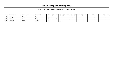| EBT 2004: Final standing in the Women's Division |  |  |  |  |  |  |
|--------------------------------------------------|--|--|--|--|--|--|
|--------------------------------------------------|--|--|--|--|--|--|

|     | Last name | First name | Federation | <b>O1</b> | 02 | 03 | 04 | 05 | 06 | 07 | 08 | 09 | 10 | 11 | 1つ | 13 <sub>1</sub> | 14 | 15 | 16 |
|-----|-----------|------------|------------|-----------|----|----|----|----|----|----|----|----|----|----|----|-----------------|----|----|----|
| 257 | Virlogeux | Elisa      | ™rance     |           |    |    |    |    |    |    |    |    |    |    |    |                 |    |    |    |
| 258 | Willems   | Ria        | Belaium    |           |    |    |    |    |    |    |    |    |    |    |    |                 |    |    |    |
| 259 | Zormpa    | Aleka      | Greece     |           |    |    |    |    |    |    |    |    |    |    |    |                 |    |    |    |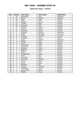### **Ballmaster Open / Finland**

| Pos.            | <b>Points</b>            | Last name    | <b>First name</b> | Federation |
|-----------------|--------------------------|--------------|-------------------|------------|
| 1               | 30                       | Bröndsted    | <b>Britt</b>      | Denmark    |
| $\overline{c}$  | 21                       | Penny        | Kirsten           | England    |
| $\overline{3}$  | 18                       | Allén        | Heta              | Finland    |
| 4               | 15                       | Mäkelä       | Minna             | Finland    |
| 5               | 12                       | Lundén       | Reija             | Finland    |
| 6               | 10                       | Santonen     | Mari              | Finland    |
| $\overline{7}$  | 6                        | Pöllänen     | Krista            | Finland    |
| 8               | 6                        | Kantola      | Piritta           | Finland    |
| 9               | 6                        | Pulliainen   | Leena             | Finland    |
| 10              | 5                        | Kjeldsen     | Kamilla           | Denmark    |
| 11              | $\overline{5}$           | Göbel        | Michaela          | Germany    |
| 12              | $\overline{5}$           | Schwarz      | Patricia          | Finland    |
| 13              | $\overline{\mathbf{4}}$  | Zavialova    | Inna              | Russia     |
| 14              | $\overline{\mathbf{4}}$  | Sauer        | Kerstin           | Germany    |
| 15              | $\overline{4}$           | Mäkelä       | Jenni             | Finland    |
| 16              | $\overline{4}$           | Larnia       | Heidi             | Finland    |
| 17              | $\overline{\mathcal{A}}$ | Pohjanlahti  | Anita             | Finland    |
| 18              | $\overline{3}$           | Manninen     | Heidi             | Finland    |
| 19              | $\overline{3}$           | Aaltonen     | Laura             | Finland    |
| 20              | $\overline{3}$           | Blagove      | Elena             | Russia     |
| 21              | $\overline{3}$           | Einola       | Tiia              | Finland    |
| 22              | $\overline{3}$           | Povaljuhhina | Jelena            | Estonia    |
| 23              | $\overline{2}$           | Kerbs        | Kira              | Finland    |
| 24              | $\overline{2}$           | Manninen     | Nina              | Finland    |
| $\overline{25}$ | $\overline{2}$           | Lönnroth     | Daniela           | Finland    |
| 26              | $\overline{2}$           | Vuorio       | Elina             | Finland    |
| 27              | $\overline{2}$           | Nurmi        | Reija             | Finland    |
| 28              | 1                        | Mähönen      | Mia               | Finland    |
| 29              | 1                        | Impola       | Hannele           | Finland    |
| 30              | 1                        | Tuomisalo    | Laura             | Finland    |
| 31              | 1                        | Dubovskaya   | Alena             | Russia     |
| 32              | 1                        | Mäkelä       | Sonja             | Finland    |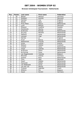### **Bronzen Schietspoel Tournament / Netherlands**

| Pos.                     | <b>Points</b>           | Last name       | <b>First name</b> | Federation  |
|--------------------------|-------------------------|-----------------|-------------------|-------------|
| 1                        | 30                      | <b>Beckel</b>   | Martina           | Germany     |
| $\overline{a}$           | 21                      | Kjeldsen        | Kamilla           | Denmark     |
| 3                        | 18                      | Gardner         | Lisa              | England     |
| $\overline{\mathcal{A}}$ | 15                      | Woods           | Nikki             | England     |
| $\overline{5}$           | 12                      | Pirau-Maas      | Bianca            | Netherlands |
| $\overline{6}$           | 10                      | Lund            | <b>Bettina</b>    | Denmark     |
| $\overline{7}$           | 6                       | Eliasson        | Josefine          | Sweden      |
| 8                        | 6                       | Karatzoula      | Martha            | Greece      |
| 9                        | 6                       | de Bruine       | <b>Brenda</b>     | Netherlands |
| 10                       | $\overline{5}$          | de Jong         | Marieke           | Netherlands |
| 11                       | $\overline{5}$          | <b>Dekkers</b>  | Carla             | Netherlands |
| 12                       | $\overline{5}$          | Lenssen         | Inge              | Netherlands |
| 13                       | $\overline{4}$          | Harries         | Jo                | England     |
| 14                       | $\overline{\mathbf{4}}$ | Fruyt           | <b>Bianca</b>     | Netherlands |
| 15                       | $\overline{4}$          | Maaswinkel      | Priscilla         | Netherlands |
| $\overline{16}$          | $\overline{4}$          | Gross           | Ivonne            | Austria     |
| 17                       | $\overline{4}$          | Watson          | Debbie            | Scotland    |
| 18                       | $\overline{3}$          | Cramer          | Aisha             | Netherlands |
| 19                       | $\overline{3}$          | Visser          | Jolanda           | Netherlands |
| 20                       | $\overline{3}$          | de Bruine       | Diana             | Netherlands |
| 21                       | $\overline{3}$          | de Koning       | Fiona             | Netherlands |
| 22                       | $\overline{3}$          | van Regenmortel | Yolanda           | Belgium     |
| 23                       | $\overline{2}$          | Mirschel        | Andrea            | Germany     |
| $\overline{24}$          | $\overline{2}$          | Greiner         | Ross              | Netherlands |
| 25                       | $\overline{2}$          | Tchu            | Iben              | Denmark     |
| 26                       | $\overline{2}$          | Zwart           | Debbie            | Netherlands |
| 27                       | $\overline{2}$          | Haneveld        | Noëlle            | Netherlands |
| 28                       | 1                       | van Nederpelt   | Annie             | Netherlands |
| 29                       | 1                       | van der List    | Wendy             | Netherlands |
| 30                       | 1                       | Trcková         | Gabriela          | Czech       |
| 31                       | 1                       | Willems         | Ria               | Belgium     |
| 32                       | 1                       | Sauer           | Kerstin           | Germany     |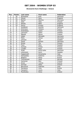### **Brunswick Euro Challenge / Greece**

| Pos.                     | <b>Points</b>           | Last name     | First name   | Federation |
|--------------------------|-------------------------|---------------|--------------|------------|
| 1                        | 30                      | Bröndsted     | <b>Britt</b> | Denmark    |
| $\overline{2}$           | 21                      | Glover        | Zara         | England    |
| $\overline{3}$           | 18                      | <b>Beckel</b> | Martina      | Germany    |
| $\overline{\mathcal{L}}$ | 15                      | Allén         | Heta         | Finland    |
| 5                        | 12                      | Woods         | Nikki        | England    |
| 6                        | 10                      | Penny         | Kirsten      | England    |
| $\overline{7}$           | 6                       | Kjeldesen     | Kamilla      | Denmark    |
| 8                        | 6                       | Smirnova      | Tatiana      | Russia     |
| 9                        | 6                       | Strömberg     | Jaana        | Finland    |
| 10                       | 5                       | Johnsson      | Helen        | Sweden     |
| 11                       | $\overline{5}$          | Mäkelä        | Minna        | Finland    |
| 12                       | $\overline{5}$          | Göbel         | Michaela     | Germany    |
| 13                       | $\overline{\mathbf{4}}$ | Petty         | Tanya        | Germany    |
| 14                       | $\overline{4}$          | Jönsson       | Eva          | Sweden     |
| 15                       | $\overline{\mathbf{4}}$ | Sauer         | Kerstin      | Germany    |
| 16                       | $\overline{\mathbf{4}}$ | Einola        | Tiia         | Finland    |
| 17                       | $\overline{4}$          | Flack         | Nina         | Sweden     |
| 18                       | $\overline{3}$          | Kantola       | Piritta      | Finland    |
| 19                       | $\overline{3}$          | Lundén        | Reija        | Finland    |
| 20                       | $\overline{3}$          | Ardal         | Anne-Sofie   | Denmark    |
| 21                       | $\overline{3}$          | Johansson     | Karin        | Sweden     |
| 22                       | $\overline{3}$          | Capponcelli   | Annamaria    | Italy      |
| 23                       | $\overline{2}$          | Georgiadou    | Katerina     | Greece     |
| 24                       | $\overline{2}$          | Blagova       | Elena        | Russia     |
| $\overline{25}$          | $\overline{2}$          | Thorstensen   | Heidi        | Norway     |
| 26                       | $\overline{2}$          | Santonen      | Mari         | Finland    |
| 27                       | $\overline{2}$          | Gross         | Ivonne       | Austria    |
| 28                       | 1                       | Zormpa        | Aleka        | Greece     |
| 29                       | 1                       | Benvenuti     | Gabriele     | Italy      |
| 30                       | 1                       | Zavialova     | Inna         | Russia     |
| 31                       | 1                       | Cavazzini     | Laura        | Italy      |
| 32                       | 1                       | Poulitsidou   | Elena        | Greece     |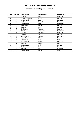#### **Sweden Les Lion Cup 2004 / Sweden**

| Pos. | <b>Points</b> | Last name           | First name   | Federation |
|------|---------------|---------------------|--------------|------------|
|      | 30            | Jönsson             | Eva          | Sweden     |
| 2    | 21            | Houbo Pedersen      | Lotte        | Denmark    |
| 3    | 18            | Wetterlund          | Åsa          | Sweden     |
| 4    | 15            | Kjeldsen            | Kamilla      | Denmark    |
| 5    | 12            | <b>Brondestad</b>   | <b>Britt</b> | Denmark    |
| 6    | 10            | Simonsen            | <b>Rikke</b> | Denmark    |
| 7    | 6             | Torgesen            | Pat          | Norway     |
| 8    | 6             | Smirnova            | Tatiana      | Russia     |
| 9    | 6             | Ardal               | Ann-Sofie    | Denmark    |
| 10   | 5             | Olsson              | Susanne      | Sweden     |
| 11   | 5             | Larsen              | Sahra        | Denmark    |
| 12   | 5             | Vestergard          | Vibeke       | Denmark    |
| 13   | 4             | Holm Rasmussen      | <b>Rikke</b> | Denmark    |
| 14   | 4             | Edvardsen           | Heidi        | Norway     |
| 15   | 4             | Kristiansen         | Mette        | Denmark    |
| 16   | 4             | Vinjova             | Ivana        | Czech      |
| 17   | 4             | Torstensen          | Heidi        | Norway     |
| 18   | 3             | Brzicova-Hanzlovska | Petra        | Czech      |
| 19   | 3             | Tedham              | Pia          | Sweden     |
| 20   | 3             | Cermakova           | Petra        | Czech      |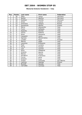### **Memorial Antonio Vendemini / Italy**

| Pos.            | <b>Points</b>           | Last name       | First name    | Federation   |
|-----------------|-------------------------|-----------------|---------------|--------------|
| 1               | 30                      | Petty           | Tanya         | Germany      |
| $\overline{2}$  | 21                      | <b>Beckel</b>   | Martina       | Germany      |
| $\overline{3}$  | 18                      | Kjeldsen        | Kamilla       | Denmark      |
| 4               | 15                      | Gross           | Ivonne        | Austria      |
| $\overline{5}$  | 12                      | Smirnova        | Tatiana       | Russia       |
| 6               | 10                      | Karatzoula      | Martha        | Greece       |
| 7               | 6                       | Morra           | Alessandra    | Italy        |
| 8               | 6                       | Fusco           | Raffaella     | Italy        |
| 9               | 6                       | Esposito        | Daniela       | Italy        |
| 10              | 5                       | Ferina          | Roberta       | Italy        |
| 11              | $\overline{5}$          | Rizzo           | Giovanna      | Italy        |
| 12              | $\overline{5}$          | Cavazzini       | Laura         | Italy        |
| 13              | $\overline{\mathbf{4}}$ | Sgrosso         | MariaCristina | Italy        |
| 14              | $\overline{\mathbf{4}}$ | Lunden          | Reija         | Finland      |
| 15              | $\overline{\mathbf{4}}$ | Marino          | Adele         | Italy        |
| $\overline{16}$ | $\overline{4}$          | lacomino        | M.Rosaria     | Italy        |
| 17              | 4                       | Paoli           | Luciana       | Italy        |
| 18              | 3                       | Perna           | Fiorella      | Italy        |
| 19              | $\overline{3}$          | Izzo            | Carmen        | Italy        |
| 20              | $\overline{3}$          | Khun            | Hildegrad     | Italy        |
| $\overline{21}$ | $\overline{3}$          | Amenta          | Marina        | Italy        |
| $\overline{22}$ | $\overline{3}$          | Marino          | Teresa        | Italy        |
| $\overline{23}$ | $\overline{2}$          | De Marco        | Francesca     | Italy        |
| 24              | $\overline{2}$          | Curcio          | Anna          | <b>Ttaly</b> |
| $\overline{25}$ | $\overline{2}$          | Grassini        | Enza          | Italy        |
| 26              | $\overline{2}$          | Frisoni         | Antonella     | San Marino   |
| $\overline{27}$ | $\overline{2}$          | Ioannou         | Georgia       | Greece       |
| $\overline{28}$ | $\overline{1}$          | <b>Buzzelli</b> | Daniela       | Italy        |
| $\overline{29}$ | 1                       | Carrubba        | Carmela       | Italy        |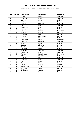### **Brunswick Aalborg International 2004 / Denmark**

| Pos.                     | <b>Points</b>           | Last name     | First name   | Federation |
|--------------------------|-------------------------|---------------|--------------|------------|
| 1                        | 30                      | Johnsson      | Helen        | Sweden     |
| $\overline{a}$           | 21                      | Haglund       | Linda        | Sweden     |
| $\overline{3}$           | 18                      | Lundén        | Reija        | Finland    |
| $\overline{\mathcal{L}}$ | 15                      | Petty         | Tanya        | Germany    |
| 5                        | 12                      | Carlsson      | Christel     | Sweden     |
| 6                        | 10                      | Flack         | Nina         | Sweden     |
| $\overline{7}$           | 6                       | Santonen      | Mari         | Finland    |
| 8                        | 6                       | Kemppainen    | Tuula        | Finland    |
| 9                        | 6                       | <b>Beckel</b> | Martina      | Germany    |
| 10                       | $\overline{5}$          | Kjeldsen      | Kamilla      | Denmark    |
| 11                       | $\overline{5}$          | Bröndsted     | <b>Britt</b> | Denmark    |
| 12                       | $\overline{5}$          | Jensen        | Anja Ginge   | Denmark    |
| 13                       | $\overline{\mathbf{4}}$ | Kantola       | Piritta      | Finland    |
| 14                       | $\overline{\mathbf{4}}$ | Simonsen      | Rikke        | Denmark    |
| $\overline{15}$          | $\overline{4}$          | Dahlgren      | Christina    | Sweden     |
| $\overline{16}$          | $\overline{4}$          | Mäkelä        | Minna        | Finland    |
| 17                       | $\overline{4}$          | Combes        | Alexandra    | France     |
| 18                       | $\overline{3}$          | Ardal         | Anne Sofie   | Denmark    |
| 19                       | $\overline{3}$          | Pulliainen    | Leena        | Finland    |
| 20                       | $\overline{3}$          | Sofkova       | Victoria     | Sweden     |
| $\overline{21}$          | $\overline{3}$          | Alfredsson    | Diana        | Sweden     |
| 22                       | $\overline{3}$          | Pedersen      | Lotte Houbo  | Denmark    |
| 23                       | $\overline{2}$          | Alto          | Pauliina     | Finland    |
| $\overline{24}$          | $\overline{2}$          | Jönsson       | Eva          | Sweden     |
| $\overline{25}$          | $\overline{2}$          | Glendert      | Malin        | Sweden     |
| 26                       | $\overline{2}$          | Alén          | Heta         | Finland    |
| 27                       | $\overline{2}$          | Göbel         | Michaela     | Germany    |
| 28                       | $\mathbf{1}$            | Gross         | Ivonne       | Austria    |
| 29                       | 1                       | Wetterlund    | Aasa         | Sweden     |
| 30                       | 1                       | Vestergaard   | Vibeke       | Denmark    |
| 31                       | 1                       | Smirnova      | Tatiana      | Russia     |
| 32                       | 1                       | Larsen        | Rebecca      | Sweden     |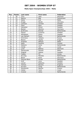### **Malta Open Championships 2004 / Malta**

| Pos.                     | <b>Points</b>           | Last name      | <b>First name</b> | Federation  |
|--------------------------|-------------------------|----------------|-------------------|-------------|
| 1                        | 30                      | Tchu           | Iben              | Denmark     |
| $\overline{2}$           | 21                      | Manico         | Bigi              | Switzerland |
| $\overline{3}$           | 18                      | Abela          | Sue               | Malta       |
| $\overline{\mathcal{L}}$ | 15                      | Knopp          | Nicole            | Germany     |
| 5                        | 12                      | Carlsson       | Christel          | Sweden      |
| 6                        | 10                      | Flack          | Nina              | Sweden      |
| $\overline{7}$           | 6                       | Heneskar       | Ellinor           | Sweden      |
| 8                        | 6                       | <b>Beckel</b>  | Martina           | Germany     |
| 9                        | 6                       | de Bruine      | <b>Brenda</b>     | Netherlands |
| 10                       | $\overline{5}$          | Olsson         | Susanne           | Sweden      |
| 11                       | $\overline{5}$          | Alfredsson     | Diana             | Sweden      |
| 12                       | $\overline{5}$          | van Hemert     | Paula             | Netherlands |
| 13                       | $\overline{\mathbf{4}}$ | Smirnova       | Tatiana           | Russia      |
| 14                       | $\overline{4}$          | <b>Beavis</b>  | Hayley            | England     |
| $\overline{15}$          | $\overline{4}$          | Anastasi       | Melissa           | Malta       |
| $\overline{16}$          | $\overline{4}$          | Aalto          | Pauliina          | Finland     |
| 17                       | $\overline{4}$          | <b>Dekkers</b> | Carla             | Netherlands |
| 18                       | $\overline{3}$          | Itzhak         | Tali              | Israel      |
| 19                       | $\overline{3}$          | Lund           | <b>Bettina</b>    | Denmark     |
| 20                       | $\overline{3}$          | Demanuele      | Pamela            | Malta       |
| $\overline{21}$          | $\overline{3}$          | Stighall       | Helene            | Sweden      |
| 22                       | $\overline{3}$          | Copley         | Flo               | Jersey      |
| 23                       | $\overline{2}$          | de Jong        | Marieke           | Netherlands |
| $\overline{24}$          | $\overline{2}$          | Bauer          | Karin             | Germany     |
| $\overline{25}$          | $\overline{2}$          | Pascoal-Blom   | Farida            | Netherlands |
| 26                       | $\overline{2}$          | Gref           | Lena              | Sweden      |
| 27                       | $\overline{2}$          | Larsen         | Rebecka           | Sweden      |
| 28                       | $\mathbf{1}$            | Tolman         | Beverly           | England     |
| 29                       | 1                       | Kurvers        | Sindy             | Netherlands |
| 30                       | 1                       | Karatzoula     | Martha            | Greece      |
| 31                       | 1                       | Cohen          | Yonit             | Israel      |
| 32                       | 1                       | Cramer         | Aisha             | Netherlands |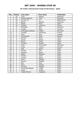### **26 Trofeo Internacional Ciutat de Barcelona / Spain**

| Pos.                     | <b>Points</b>           | Last name           | First name   | <b>Federation</b> |
|--------------------------|-------------------------|---------------------|--------------|-------------------|
| 1                        | 30                      | Lund                | Bettina      | Denmark           |
| $\overline{2}$           | 21                      | Houbo Pedersen      | Lotte        | Denmark           |
| $\overline{3}$           | 18                      | Van der tol         | G.s.         | Netherlands       |
| $\overline{\mathcal{L}}$ | 15                      | <b>Beckel</b>       | Martina      | Germany           |
| 5                        | 12                      | Nuñez               | Paqui        | Spain             |
| $\overline{6}$           | 10                      | Gaillard            | Laurence     | France            |
| $\overline{7}$           | 6                       | <b>Bronsted</b>     | <b>Britt</b> | Denmark           |
| 8                        | 6                       | Lunden              | Reija        | Finland           |
| 9                        | 6                       | Vestergaard Nielsen | Vibeke       | Denmark           |
| 10                       | $\overline{5}$          | Combes              | Alexandra    | France            |
| 11                       | $\overline{5}$          | Flack               | Nina         | Sweden            |
| 12                       | $\overline{5}$          | Thorstensen         | Heidi        | Norway            |
| 13                       | $\overline{\mathbf{4}}$ | Romero              | Roser        | Spain             |
| 14                       | $\overline{4}$          | Garcia              | Marisa       | Spain             |
| 15                       | $\overline{4}$          | <b>Brzica</b>       | Rosta        | Czech             |
| 16                       | $\overline{\mathbf{4}}$ | Torrents            | Sandra       | Spain             |
| 17                       | 4                       | Ardal               | Anne-Sofie   | Denmark           |
| 18                       | $\overline{3}$          | Gross               | Ivonne       | Austria           |
| 19                       | $\overline{3}$          | Sala                | Gloria       | Spain             |
| 20                       | 3                       | Perales             | Pilar        | Spain             |
| 21                       | $\overline{3}$          | <b>Burgues</b>      | Merce        | Spain             |
| 22                       | $\overline{3}$          | Albert              | Milagros     | Spain             |
| 23                       | $\overline{2}$          | Perales             | Irene        | Spain             |
| 24                       | $\overline{2}$          | Canosa              | Marta        | Spain             |
| $\overline{25}$          | $\overline{2}$          | Parra               | Matilde      | Spain             |
| 26                       | $\overline{2}$          | Alvarez             | Angeles      | Spain             |
| 27                       | $\overline{2}$          | Mas                 | Rosa         | Spain             |
| 28                       | 1                       | Oliva               | Sandra       | Spain             |
| 29                       | 1                       | Carneiro            | Rafaela      | Spain             |
| 30                       | 1                       | Hernandez Miguel    | Isabel       | Spain             |
| 31                       | 1                       | Lopez               | Angels       | Spain             |
| 32                       | 1                       | Tudela Moreno       | Angelines    | Spain             |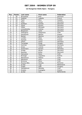### **1st Hungarian Stella Open / Hungary**

| Pos.                     | <b>Points</b>           | Last name        | <b>First name</b> | <b>Federation</b> |
|--------------------------|-------------------------|------------------|-------------------|-------------------|
| 1                        | 30                      | <b>Brondsted</b> | <b>Britt</b>      | Denmark           |
| $\overline{2}$           | 21                      | Saldjian         | Isabelle          | France            |
| $\overline{3}$           | 18                      | Flack            | Nina              | Sweden            |
| $\overline{\mathcal{A}}$ | 15                      | Petty            | Tanya             | Germany           |
| 5                        | 12                      | Kjeldsen         | Kamilla           | Denmark           |
| 6                        | 10                      | Sauer            | Kerstin           | Germany           |
| $\overline{7}$           | 6                       | Göbel            | Michaela          | Germany           |
| 8                        | 6                       | Jonasdowsky      | Andrea            | Germany           |
| 9                        | 6                       | Bergmann         | Liane             | Germany           |
| 10                       | 5                       | Stelcigova       | Stepanska         | Czeh              |
| 11                       | $\overline{5}$          | Karatzoula       | Martha            | Greece            |
| 12                       | $\overline{5}$          | <b>Beckel</b>    | Martina           | Germany           |
| 13                       | $\overline{\mathbf{4}}$ | Lunden           | Reija             | Finland           |
| 14                       | $\overline{\mathbf{4}}$ | Kantola          | Piritta           | Finland           |
| 15                       | $\overline{\mathbf{4}}$ | Uhlich           | Sonja             | Germany           |
| 16                       | $\overline{\mathbf{4}}$ | Tomajága         | Kinga             | Hungary           |
| 17                       | $\overline{\mathbf{4}}$ | Gschrey          | Stephanie         | Germany           |
| 18                       | $\overline{3}$          | Gross            | Ivonne            | Austria           |
| 19                       | $\overline{3}$          | Stutzmann        | Kerstin           | Germany           |
| 20                       | $\overline{3}$          | Knopp            | Nicole            | Germany           |
| 21                       | $\overline{3}$          | Reusing          | <b>Britta</b>     | Denmark           |
| 22                       | $\overline{3}$          | Hanusova         | Dana              | Czeh              |
| 23                       | $\overline{2}$          | <b>Broinger</b>  | Jaqueline         | Austria           |
| $\overline{24}$          | $\overline{2}$          | Morávková        | Helena            | Czeh              |
| $\overline{25}$          | $\overline{2}$          | Maresova         | Jana              | Czeh              |
| 26                       | $\overline{2}$          | Brzicova         | Petra             | Czeh              |
| $\overline{27}$          | $\overline{2}$          | Roxana Nitu      | Daniela           | Romania           |
| 28                       | 1                       | de Bel           | Inge              | Netherland        |
| 29                       | 1                       | Szabó            | Gabi              | Hungary           |
| 30                       | $\mathbf{1}$            | Harbáýková       | Markéta           | Czeh              |
| 31                       | 1                       | Kivelou          | Evangelia         | Greece            |
| 32                       | 1                       | de Bel           | Amy               | Netherlands       |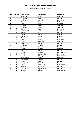#### **Danish Masters / Denmark**

| Pos.           | <b>Points</b>           | Last name        | <b>First name</b> | Federation  |
|----------------|-------------------------|------------------|-------------------|-------------|
| 1              | 30                      | Haglund          | Linda             | Sweden      |
| $\overline{2}$ | 21                      | <b>Brøndsted</b> | <b>Britt</b>      | Denmark     |
| 3              | 18                      | Kjeldsen         | Kamilla           | Denmark     |
| $\overline{4}$ | 15                      | Pöllönen         | Krista            | Finland     |
| $\overline{5}$ | 12                      | Flack            | Nina              | Sweden      |
| 6              | 10                      | Jönsson          | Eva               | Sweden      |
| $\overline{7}$ | 6                       | Johnsson         | Helen             | Sweden      |
| 8              | 6                       | Tchu             | Iben              | Denmark     |
| $\overline{9}$ | 6                       | Wetterlund       | Åsa               | Sweden      |
| 10             | 5                       | Togersen         | Pat               | Norway      |
| 11             | $\overline{5}$          | Lunden           | Reija             | Finland     |
| 12             | $\overline{5}$          | Pulliainen       | Leena             | Finland     |
| 13             | $\overline{4}$          | Ankerdal         | Connie            | Denmark     |
| 14             | $\overline{\mathbf{4}}$ | Göbel            | Michaela          | Germany     |
| 15             | $\overline{\mathbf{4}}$ | Carlsson         | Christel          | Sweden      |
| 16             | $\overline{\mathbf{4}}$ | Simonsen         | <b>Rikke</b>      | Denmark     |
| 17             | $\overline{\mathbf{4}}$ | Andersen         | Grethe            | Norway      |
| 18             | $\overline{3}$          | Sulkanen         | Lena              | Denmark     |
| 19             | $\overline{3}$          | Larsen           | Hanne             | Denmark     |
| 20             | $\overline{3}$          | Lund             | <b>Bettina</b>    | Denmark     |
| 21             | $\overline{3}$          | de Jon           | Marieke           | Netherlands |
| 22             | $\overline{3}$          | Ardal            | Anne-Sofie        | Denmark     |
| 23             | $\overline{2}$          | van der List     | Wendy             | Netherlands |
| 24             | $\overline{2}$          | Kristiansen      | Mette             | Denmark     |
| 25             | $\overline{2}$          | Vestergaard      | Vibeke            | Denmark     |
| 26             | $\overline{2}$          | Østlund          | <b>Britt</b>      | Norway      |
| 27             | $\overline{2}$          | Haugerud         | <b>Tove Mette</b> | Norway      |
| 28             | 1                       | <b>Bruine</b>    | Brenda de         | Netherlands |
| 29             | 1                       | <b>Bjercke</b>   | Cathrine          | Norway      |
| 30             | 1                       | Rasmussen        | Rikke Holm        | Denmark     |
| 31             | 1                       | Cramer           | Aisha             | Netherlands |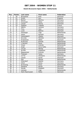### **Dutch Brunswick Open 2004 / Netherlands**

| Pos.                     | <b>Points</b>           | Last name        | <b>First name</b> | Federation     |
|--------------------------|-------------------------|------------------|-------------------|----------------|
| 1                        | 30                      | <b>Brondsted</b> | <b>Britt</b>      | Denmark        |
| $\overline{a}$           | 21                      | Smith            | Ann               | England        |
| $\overline{3}$           | 18                      | <b>Beckel</b>    | Martina           | Germany        |
| $\overline{\mathcal{L}}$ | 15                      | Simonsen         | <b>Rikke</b>      | Denmark        |
| 5                        | 12                      | Larsen           | Hanne             | <b>Denmark</b> |
| 6                        | 10                      | Saldijan         | Isabelle          | France         |
| $\overline{7}$           | 6                       | Adkins           | Laressa           | Germany        |
| 8                        | 6                       | Tchu             | Iben              | Denmark        |
| 9                        | 6                       | Lund             | Bettina           | Denmark        |
| 10                       | 5                       | Hazeleger        | Inge              | Netherlands    |
| 11                       | $\overline{5}$          | Sauer            | Kersten           | Germany        |
| 12                       | $\overline{5}$          | Vestergaard      | Vibeke            | Denmark        |
| 13                       | $\overline{\mathbf{4}}$ | de Jong          | Marieke           | Netherlands    |
| 14                       | $\overline{\mathbf{4}}$ | Kristiansen      | Mette             | Denmark        |
| 15                       | $\overline{\mathbf{4}}$ | de Bruine        | <b>Brenda</b>     | Netherlands    |
| 16                       | $\overline{\mathbf{4}}$ | v Hemert         | Paula             | Netherlands    |
| 17                       | $\overline{4}$          | Visser           | Jolanda           | Netherlands    |
| 18                       | $\overline{3}$          | Ardal            | Anne-Sofie        | Denmark        |
| 19                       | $\overline{3}$          | vd List          | Wendy             | Netherlands    |
| 20                       | $\overline{3}$          | de Win           | Angelique         | Netherlands    |
| $\overline{21}$          | $\overline{3}$          | Maaswinkel       | Priscilla         | Netherlands    |
| 22                       | $\overline{3}$          | Theissen         | Tanja             | Germany        |
| 23                       | $\overline{2}$          | vd Tol           | Ghislaine         | Netherlands    |
| 24                       | $\overline{2}$          | Larsen           | Sarah             | Denmark        |
| 25                       | $\overline{2}$          | <b>Kok</b>       | Wendy             | Netherlands    |
| 26                       | $\overline{2}$          | Ohlendorf        | Nadine            | Germany        |
| 27                       | $\overline{2}$          | Uhich            | Sonja             | Germany        |
| 28                       | $\mathbf{1}$            | de Koning        | Fiona             | Netherlands    |
| 29                       | 1                       | Herberle         | Nicole            | Germany        |
| 30                       | $\mathbf{1}$            | Donde            | Elsebeth          | Denmark        |
| 31                       | 1                       | Lenssen          | Inge              | Netherlands    |
| 32                       | 1                       | Holm Rasmussen   | <b>Rikke</b>      | Denmark        |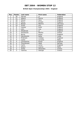### **British Open Championships 2004 / England**

| Pos.           | <b>Points</b> | Last name     | First name | Federation |
|----------------|---------------|---------------|------------|------------|
|                | 30            | Harries       | Jo         | England    |
| $\overline{2}$ | 21            | Adams         | Donna      | England    |
| 3              | 18            | Glover        | Zara       | England    |
| 4              | 15            | Penny         | Kirsten    | England    |
| 5              | 12            | <b>Beckel</b> | Martina    | Germany    |
| 6              | 10            | Smith         | Ann        | England    |
| 7              | 6             | Jowsey        | Katie      | England    |
| 8              | 6             | John          | Lisa       | England    |
| 9              | 6             | Allsebrook    | Jo         | England    |
| 10             | 5             | Karatzoula    | Martha     | Greece     |
| 11             | 5             | <b>Byrne</b>  | Karen      | England    |
| 12             | 5             | Hershkovitz   | Nufar      | Israel     |
| 13             | 4             | Pridmore      | Lindsay    | England    |
| 14             | 4             | Cashe         | Lorraine   | Malta      |
| 15             | 4             | Constantine   | Karen      | England    |
| 16             | 4             | Thorstensen   | Heidi      | Norway     |
| 17             | 4             | Carlin        | Lorna      | England    |
| 18             | 3             | Attard        | Joanna     | Malta      |
| 19             | 3             | Zorba         | Alexandra  | Greece     |
| 20             | 3             | Ioannou       | Georgia    | Greece     |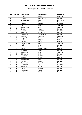### **Norwegian Open 2004 / Norway**

| Pos.                     | <b>Points</b>           | Last name         | First name        | Federation    |
|--------------------------|-------------------------|-------------------|-------------------|---------------|
| 1                        | 30                      | Johnsson          | Helen             | Sweden        |
| $\overline{2}$           | 21                      | Haugen            | Ann Louise        | Norway        |
| $\overline{3}$           | 18                      | <b>Brøndstedt</b> | <b>Britt</b>      | Denmark       |
| $\overline{\mathcal{L}}$ | 15                      | Jönsson           | Eva               | Sweden        |
| 5                        | 12                      | Sofkova           | Victoria          | Sweden        |
| 6                        | 10                      | Flack             | Nina              | Sweden        |
| $\overline{7}$           | 6                       | Wetterlund        | Åsa               | Sweden        |
| 8                        | 6                       | <b>Bjercke</b>    | Cathrine          | Norway        |
| 9                        | 6                       | Johanson          | Annette           | Sweden        |
| 10                       | 5                       | Torgersen         | Patcharin         | Norway        |
| 11                       | $\overline{5}$          | Haugerud          | <b>Tove Mette</b> | Norway        |
| 12                       | $\overline{5}$          | Carlsson          | Christel          | Sweden        |
| 13                       | $\overline{\mathbf{4}}$ | Haglund           | Linda             | Sweden        |
| 14                       | $\overline{\mathbf{4}}$ | Øien              | Ingunn            | Norway        |
| 15                       | $\overline{4}$          | Lunden            | Reija             | Finland       |
| 16                       | $\overline{\mathbf{4}}$ | Larsson-Carlsson  | Ann-Ki            | Sweden        |
| 17                       | $\overline{4}$          | Rødli             | Inger             | Norway        |
| 18                       | $\overline{3}$          | Larsen            | Rebecka           | Sweden        |
| 19                       | $\overline{3}$          | Eckell            | Irene Kragh       | Norway        |
| 20                       | $\overline{3}$          | Arnesen           | Trude             | Norway        |
| 21                       | $\overline{3}$          | Alfredsson        | Diana             | Sweden        |
| 22                       | $\overline{3}$          | Edvardsen         | Heidi             | Norway        |
| 23                       | $\overline{2}$          | Fosseide          | Grethe            | Norway        |
| 24                       | $\overline{2}$          | Haugen            | Linda S.          | Norway        |
| $\overline{25}$          | $\overline{2}$          | Thorstensen       | Heidi             | Norway        |
| 26                       | $\overline{2}$          | Monsen            | Janne             | <b>Norway</b> |
| 27                       | $\overline{2}$          | Gunnerud          | Pernille          | Norway        |
| 28                       | 1                       | Gustafzon         | Tina              | Sweden        |
| 29                       | 1                       | Pettersen         | Catrine           | Norway        |
| 30                       | 1                       | Sveen             | Monica            | Norway        |
| 31                       | 1                       | Folkestad         | Catrine M.        | Norway        |
| 32                       | 1                       | Lislien           | Monica            | Norway        |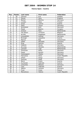### **Vienna Open / Austria**

| Pos.                     | <b>Points</b>           | Last name       | <b>First name</b> | Federation     |
|--------------------------|-------------------------|-----------------|-------------------|----------------|
| 1                        | 30                      | Jönsson         | Eva               | Sweden         |
| $\overline{2}$           | 21                      | Glover          | Zara              | England        |
| $\overline{3}$           | 18                      | Beckel          | Martina           | Germany        |
| $\overline{\mathcal{A}}$ | 15                      | Lunden          | Reija             | Finland        |
| $\overline{5}$           | 12                      | Gross           | Ivonne            | Austria        |
| 6                        | 10                      | Petty           | Tanya             | Germany        |
| $\overline{7}$           | 6                       | Bröndsted       | <b>Britt</b>      | Denmark        |
| 8                        | 6                       | Pesek           | Beatrix           | Hungary        |
| 9                        | 6                       | Greiner         | Ross              | Netherlands    |
| 10                       | 5                       | Van Boom        | Christine         | Belgium        |
| 11                       | $\overline{5}$          | de Win          | Angelique         | Netherlands    |
| 12                       | $\overline{5}$          | Jonasdofski     | Andrea            | Germany        |
| 13                       | $\overline{\mathbf{4}}$ | <b>Broinger</b> | Jaqueline         | Austria        |
| 14                       | $\overline{\mathbf{4}}$ | Manico          | Bigi              | Switzerland    |
| 15                       | $\overline{4}$          | Göbel           | Michaela          | Germany        |
| 16                       | $\overline{\mathbf{4}}$ | Klug            | Patricia          | Austria        |
| 17                       | $\overline{4}$          | Heberle         | Nicole            | Germany        |
| 18                       | $\overline{3}$          | de Jong         | Marieke           | Netherlands    |
| 19                       | $\overline{3}$          | Lenssen         | Inge              | Netherlands    |
| 20                       | $\overline{3}$          | Simonsen        | Rikke             | Denmark        |
| $\overline{21}$          | $\overline{3}$          | Sauer           | Kerstin           | Germany        |
| 22                       | $\overline{3}$          | Vestergaard     | Vibeke            | <b>Denmark</b> |
| 23                       | $\overline{2}$          | Hanusova        | Dana              | Czech Republic |
| 24                       | $\overline{2}$          | Uhlich          | Sonja             | Germany        |
| $\overline{25}$          | $\overline{2}$          | Gschrey         | Steffi            | Germany        |
| 26                       | $\overline{2}$          | Norzt           | Evelin            | Austria        |
| 27                       | $\overline{2}$          | Suchanek        | Gabriele          | Austria        |
| 28                       | 1                       | Jentschke       | Melanie           | Germany        |
| 29                       | 1                       | Loos            | Gabriele          | Austria        |
| 30                       | 1                       | Adkins          | Laressa           | Germany        |
| 31                       | 1                       | Frost           | Greta             | Poland         |
| $\overline{32}$          | 1                       | Moravkova       | Helena            | Czech Republic |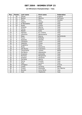### **1st Oltremare Championships / Italy**

| Pos.                     | <b>Points</b>            | Last name      | <b>First name</b> | Federation  |
|--------------------------|--------------------------|----------------|-------------------|-------------|
| 1                        | 30                       | Glover         | Zara              | England     |
| $\overline{2}$           | 21                       | <b>Beckel</b>  | Martina           | Germany     |
| $\overline{3}$           | 18                       | Flack          | Nina              | Sweden      |
| $\overline{\mathcal{A}}$ | 15                       | Fasano         | Teresa            | Italy       |
| $\overline{5}$           | 12                       | Di Benedetto   | Helga             | Italy       |
| 6                        | 10                       | Roiati         | Chiara            | Italy       |
| $\overline{7}$           | 6                        | Amenta         | Marina            | Italy       |
| 8                        | 6                        | Ferina         | Roberta           | Italy       |
| 9                        | 6                        | Matelli        | Katia             | Italy       |
| 10                       | $\overline{5}$           | Sgrosso        | M. Cristina       | Italy       |
| 11                       | $\overline{5}$           | Iacomino       | Mariarosaria      | Italy       |
| 12                       | $\overline{5}$           | Maas           | Bianca            | Netherlands |
| 13                       | 4                        | Fusco          | Rafaella          | Italy       |
| 14                       | $\overline{4}$           | Esposito       | Daniela           | Italy       |
| 15                       | $\overline{4}$           | Cavazzini      | Laura             | Italy       |
| $\overline{16}$          | $\overline{4}$           | Valentini      | Cinzia            | Italy       |
| 17                       | $\overline{\mathcal{A}}$ | Guglielmo      | Elena             | Italy       |
| 18                       | 3                        | Rizzo          | Giovanna          | Italy       |
| 19                       | $\overline{3}$           | Del Buono      | Francesca         | Italy       |
| 20                       | $\overline{3}$           | Carannante     | Tiziana           | Malta       |
| $\overline{21}$          | $\overline{3}$           | De Marco       | Alessandra        | Italy       |
| 22                       | $\overline{3}$           | Graziano       | Antonella         | Italy       |
| 23                       | $\overline{2}$           | Romano         | Margherita        | Italy       |
| $\overline{24}$          | $\overline{2}$           | Grassini       | Vincenza          | Italy       |
| 25                       | $\overline{2}$           | Ferrante       | Marica            | Italy       |
| 26                       | $\overline{2}$           | Perna          | Fiorella          | Italy       |
| 27                       | $\overline{2}$           | Paoli          | Luciana           | Italy       |
| 28                       | $\mathbf{1}$             | Virlogeux      | Elisa             | France      |
| 29                       | 1                        | Chasa          | Lorreine          | Malta       |
| 30                       | 1                        | Frisoni        | Antonella         | San Marino  |
| 31                       | 1                        | <b>Bonello</b> | Anne Marie        | Italy       |
| 32                       | 1                        | Said           | Stephanie         | Italy       |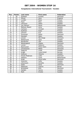### **Kungsbacka International Tournament / Sweden**

| Pos.            | <b>Points</b>           | Last name      | <b>First name</b>   | Federation  |
|-----------------|-------------------------|----------------|---------------------|-------------|
| 1               | 30                      | Kjeldsen       | Kmailla             | Denmark     |
| $\overline{2}$  | 21                      | Glover         | Zara                | England     |
| $\overline{3}$  | 18                      | Lundén         | Reija               | Finland     |
| 4               | 15                      | Flack          | Nina                | Sweden      |
| $\overline{5}$  | 12                      | Johnsson       | Helen               | Sweden      |
| 6               | 10                      | van Hemert     | Paula               | Netherlands |
| $\overline{7}$  | 6                       | Mattson-Baard  | Anna                | Sweden      |
| 8               | 6                       | Carlsson       | Christel            | Sweden      |
| 9               | 6                       | Kyllönen       | Katja               | Finland     |
| 10              | 5                       | Jönsson        | Eva                 | Sweden      |
| 11              | $\overline{5}$          | Simonsen       | Rikke               | Denmark     |
| 12              | $\overline{5}$          | Glendert       | Malin               | Sweden      |
| 13              | $\overline{\mathbf{4}}$ | Jensen         | Mai Ginge           | Denmark     |
| 14              | $\overline{4}$          | Wetterlund     | Aasa                | Sweden      |
| 15              | $\overline{4}$          | Nordström      | Ulla                | Sweden      |
| 16              | $\overline{4}$          | Westergaard    | Vibeke              | Denmark     |
| 17              | $\overline{\mathbf{4}}$ | Larsen         | Rebecca             | Sweden      |
| 18              | $\overline{3}$          | Rasmussen      | Rikke Holm          | Denmark     |
| 19              | $\overline{3}$          | Christiansen   | Mette               | Denmark     |
| 20              | $\overline{3}$          | Haglund        | Linda               | Sweden      |
| 21              | $\overline{3}$          | Kragh          | <b>Irene Eckell</b> | Norway      |
| 22              | $\overline{3}$          | Sofkova        | Viktoria            | Sweden      |
| 23              | $\overline{2}$          | Houbo Pedersen | Lotte               | Denmark     |
| 24              | $\overline{2}$          | <b>Dekkers</b> | Carla               | Netherlands |
| $\overline{25}$ | $\overline{2}$          | Ardal          | Anne-Sofie          | Denmark     |
| 26              | $\overline{2}$          | Sjöström       | Sofie               | Sweden      |
| 27              | $\overline{2}$          | Johansson      | Annette             | Sweden      |
| 28              | 1                       | Gales          | Anne                | Denmark     |
| 29              | 1                       | Pettersen      | Catrine             | Norwy       |
| 30              | 1                       | Bröndsted      | <b>Britt</b>        | Denmark     |
| 31              | 1                       | Helldén        | Sanne               | Sweden      |
| 32              | 1                       | Roth           | Emelie              | Sweden      |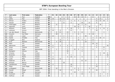| P                       | Last name      | <b>First name</b> | Federation  | $\mathbf{T}$ | 01             | 02           | 03           | 04             | 05             | 06             | 07 | 08             | 09           | 10             | 11             | 12             | 13             | 14             | 15             | 16             |
|-------------------------|----------------|-------------------|-------------|--------------|----------------|--------------|--------------|----------------|----------------|----------------|----|----------------|--------------|----------------|----------------|----------------|----------------|----------------|----------------|----------------|
| $\mathbf 1$             | Moor           | Paul              | England     | 153          |                |              |              | 5              | 21             |                | 30 | 30             | 10           | 6              |                | 21             |                | 6              | 12             | 12             |
| $\overline{\mathbf{2}}$ | Uotila         | Pasi              | Finland     | 98           | 30             |              | 18           | 18             | 10             |                |    |                |              |                |                |                | $\overline{4}$ | 15             |                | $\mathbf{3}$   |
| 3                       | Öhman          | Anders            | Sweden      | 93           | $\mathbf{1}$   |              | 6            | 3              |                | 3              | 6  | 4              | $\mathbf{1}$ | 6              |                |                | 21             | 10             | 30             | $\overline{2}$ |
| 4                       | Hansen         | Petter            | Norway      | 84           |                |              |              | 21             |                | 6              |    |                | 30           |                | 21             |                | 6              |                |                |                |
| 5                       | Verbruggen     | Gery              | Belgium     | 80           |                | 21           |              |                |                |                |    | 18             | 2            | 21             |                |                |                | 18             |                |                |
| 6                       | Helminen       | Jouni             | Finland     | 72           |                |              |              |                |                |                | 18 | 21             |              | $\mathbf{1}$   | 30             |                | $\overline{2}$ |                |                |                |
| $\overline{7}$          | Williams       | Stuart            | England     | 71           | $\mathbf{1}$   |              |              |                | $\overline{2}$ | 30             |    | 3              |              |                | 5              | $\overline{2}$ | $\overline{A}$ | 5              | 15             | $\overline{4}$ |
| 8                       | Lehtonen       | Kimmo             | Finland     | 70           | 10             |              | 6            |                |                | 21             |    |                |              |                |                |                | 30             |                |                | 3              |
| 9                       | van den Heuvel | Menno             | Netherlands | 67           |                | 6            | 21           |                | 15             |                | 5  | $\overline{2}$ | 12           |                |                | 3              |                |                | 3              |                |
| 10                      | Greulich       | Karl Peter        | Germany     | 60           |                | 30           |              |                | $\overline{2}$ |                |    | 6              |              |                | $\overline{4}$ | 18             |                |                |                |                |
| 11                      | Lintilä        | Lasse             | Finland     | 56           | 15             |              | $\mathbf{1}$ | $\overline{2}$ | $\overline{4}$ | $\mathbf{1}$   |    |                |              | 30             |                |                | 3              |                |                |                |
| 12                      | Spada          | Amadeo            | Italy       | 52           |                |              |              | 3              | 5              |                |    | $\overline{2}$ |              |                |                | 4              | $\overline{2}$ | 30             | 6              |                |
| 13                      | Froggatt       | <b>Nick</b>       | England     | 47           |                |              | 15           | $\mathbf{1}$   | 3              |                |    | 10             | 4            | $\overline{2}$ |                | 12             |                |                |                |                |
| 14                      | Krull          | Maarten           | Netherlands | 46           |                | 5            | 30           |                |                |                |    |                |              | 10             |                | $\mathbf{1}$   |                |                |                |                |
| 15                      | Mack           | Tim               | Sweden      | 45           |                |              |              |                |                |                |    |                |              |                |                | 30             | 15             |                |                |                |
| 16                      | Mannonen       | Petri             | Finland     | 40           | 6              |              | 3            |                | 4              | 5              |    |                |              |                |                |                | $\overline{4}$ |                |                | 18             |
| 17                      | Gross          | Thomas            | Austria     | 37           | 6              |              |              |                | 1              |                |    |                | 5            |                |                |                | $\overline{4}$ |                | 21             |                |
| 18                      | Smits          | Peter             | Netherlands | 37           |                | $\mathbf{1}$ |              |                | $\overline{2}$ |                | 21 | 3              | 3            |                |                | 5              |                |                | $\overline{2}$ |                |
| 19                      | Bottiglieri    | Alfonso           | Italy       | 36           |                |              |              |                | 30             |                |    |                | 6            |                |                |                |                |                |                |                |
| 20                      | Virtanen       | Kai               | Finland     | 36           | $\mathbf{1}$   |              |              |                | 6              |                |    |                |              |                |                |                |                | 5              | 18             | 6              |
| 21                      | Broström       | Oskar             | Sweden      | 34           |                |              |              |                |                | $\mathbf{1}$   |    |                |              |                |                |                |                | 3              |                | 30             |
| 22                      | Larsen         | Martin            | Sweden      | 34           | $\mathfrak{Z}$ |              |              |                | $\mathfrak{Z}$ | 10             | 3  |                | 6            |                |                |                | 5              |                |                | 4              |
| 23                      | Luoto          | Mika              | Finland     | 33           | 21             |              | 12           |                |                |                |    |                |              |                |                |                |                |                |                |                |
| 24                      | Pedersen       | Bo W.             | Denmark     | 33           |                |              |              |                |                |                |    |                | 21           | 12             |                |                |                |                |                |                |
| 25                      | Eriksson       | Marcus            | Sweden      | 30           |                |              |              | 30             |                |                |    |                |              |                |                |                |                |                |                |                |
| 26                      | Leandersson    | Tomas             | Sweden      | 30           | $\overline{4}$ |              |              |                |                | 18             |    |                |              |                |                |                | 3              |                |                | 5              |
| 27                      | Olsen          | Svein Roger       | Norway      | 30           |                |              |              |                |                | 12             |    |                |              |                |                |                | 18             |                |                |                |
| 28                      | vd Bogaard     | Ron               | Netherlands | 30           |                | 12           |              |                |                |                | 4  | 5              |              |                | 5              | $\overline{4}$ |                |                |                |                |
| 29                      | Kanold         | Mikael            | Sweden      | 28           |                |              | 10           |                |                | $\overline{4}$ |    | 4              |              |                |                |                | 10             |                |                |                |
| 30                      | Knopp          | Peter             | Germany     | 28           |                |              |              |                |                |                | 12 |                | 4            |                | 4              | $\overline{2}$ |                |                | 6              |                |
| 31                      | Svensson       | Pär               | Sweden      | 27           |                |              |              | 5              |                | $\mathfrak{Z}$ |    |                | 15           |                |                |                |                | $\overline{2}$ |                | $\overline{2}$ |
| 32                      | Hoffman        | Bill              | Sweden      | 26           |                |              |              |                |                |                |    |                |              |                |                |                |                | 21             | $\overline{2}$ | $\mathbf{3}$   |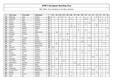| P  | Last name    | First name | Federation  | T  | 01 | 02             | 03             | 04             | 05 | 06           | 07 | 08 | 09             | 10             | 11             | 12 | 13             | 14             | 15 | 16             |
|----|--------------|------------|-------------|----|----|----------------|----------------|----------------|----|--------------|----|----|----------------|----------------|----------------|----|----------------|----------------|----|----------------|
| 33 | Palermaa     | Osku       | Finland     | 26 | 2  |                | 5              | $\overline{4}$ |    |              |    |    |                |                |                |    | 6              | 5              |    | $\overline{4}$ |
| 34 | Torgersen    | Tore       | Norway      | 24 |    |                |                |                |    | 6            |    |    |                | 18             |                |    |                |                |    |                |
| 35 | Quarry       | Mike       | England     | 23 |    |                |                |                |    |              |    |    |                |                |                | 4  |                | 12             | 4  | 3              |
| 36 | Spigner      | Robert     | Denmark     | 22 |    |                |                |                |    | $\mathbf{1}$ |    | 5  |                | $\overline{2}$ | 12             |    |                |                |    | $\overline{2}$ |
| 37 | Agerbo       | Jesper     | Denmark     | 21 |    |                |                |                |    | 3            |    | 4  |                | 2              |                |    | 12             |                |    |                |
| 38 | Karlsson     | Tobias     | Sweden      | 21 |    |                |                |                |    | 15           | 4  |    |                |                |                |    | $\overline{2}$ |                |    |                |
| 39 | Olsson       | Mathias    | Sweden      | 21 |    |                |                |                |    |              |    |    |                |                |                |    |                |                |    | 21             |
| 40 | Vaglia       | Vittorio   | Italy       | 21 |    |                |                |                |    |              |    | 6  |                | 15             |                |    |                |                |    |                |
| 41 | Verboon      | Remco      | Netherlands | 21 |    | 18             |                |                |    |              |    |    |                |                | 3              |    |                |                |    |                |
| 42 | Bulegato     | Giuliano   | Italy       | 20 |    |                | $\overline{2}$ |                | 18 |              |    |    |                |                |                |    |                |                |    |                |
| 43 | Aviram       | <b>Or</b>  | Israel      | 19 |    |                | $\mathbf{1}$   |                |    |              | 3  |    |                |                |                |    |                |                |    | 15             |
| 44 | Sacco        | Francois   | France      | 19 |    |                |                |                |    |              |    |    | 4              |                | 15             |    |                |                |    |                |
| 45 | Schröder     | Nikolai    | Austria     | 19 |    |                |                | 6              | 12 |              |    |    |                |                |                |    |                | $\mathbf{1}$   |    |                |
| 46 | Baade        | Marco      | Germany     | 18 |    |                |                |                |    |              |    |    | 18             |                |                |    |                |                |    |                |
| 47 | Dol          | Ronald     | Netherlands | 18 |    | 15             |                |                |    |              |    |    |                |                |                |    |                |                | 3  |                |
| 48 | Kok          | Eric       | Netherlands | 18 |    |                |                |                |    |              |    |    |                |                | 18             |    |                |                |    |                |
| 49 | Kuossari     | Jouko      | Finland     | 18 | 18 |                |                |                |    |              |    |    |                |                |                |    |                |                |    |                |
| 50 | Andersson    | Robert     | Sweden      | 17 | 3  |                |                |                |    |              | 10 |    |                |                |                |    | 2              | 2              |    |                |
| 51 | <b>Block</b> | Thomas     | Germany     | 16 |    | 4              | 4              |                |    |              |    |    | $\overline{4}$ |                | $\overline{4}$ |    |                |                |    |                |
| 52 | Tiainen      | Olli       | Finland     | 16 | 3  |                | 5              |                |    |              |    |    | 4              | 4              |                |    |                |                |    |                |
| 53 | Danielsson   | Christer   | Sweden      | 15 |    |                | 3              |                |    |              |    |    |                |                |                |    | $\overline{2}$ |                |    | 10             |
| 54 | Finch        | Wayne      | England     | 15 |    |                |                |                |    |              |    |    |                |                |                | 15 |                |                |    |                |
| 55 | Holzapfel    | Michael    | Germany     | 15 |    | 6              |                |                |    |              |    |    | 3              |                |                |    |                | 6              |    |                |
| 56 | Koivuniemi   | Mika       | Finland     | 15 |    |                |                | 15             |    |              |    |    |                |                |                |    |                |                |    |                |
| 57 | Löwenhamn    | Leonard    | Sweden      | 15 |    |                |                |                |    |              | 15 |    |                |                |                |    |                |                |    |                |
| 58 | Ovide        | Marcial    | Spain       | 15 |    |                |                |                |    |              |    | 15 |                |                |                |    |                |                |    |                |
| 59 | Åhlen        | Peter      | Sweden      | 15 | 6  |                | 4              |                |    |              |    |    |                |                |                |    | $\mathbf{1}$   | $\overline{4}$ |    |                |
| 60 | Grabowski    | Achim      | Germany     | 14 |    |                | $\overline{2}$ |                |    |              |    |    |                |                | 6              |    |                | 6              |    |                |
| 61 | van der Veen | Wim        | Netherlands | 14 |    | $\overline{2}$ |                |                |    |              |    |    |                | 2              |                | 10 |                |                |    |                |
| 62 | Bolleby      | Ulf        | Sweden      | 13 |    |                |                |                |    | 3            |    |    |                |                |                |    | 5              |                |    | 5              |
| 63 | Cundy        | Darren     | England     | 13 |    | 4              |                |                |    |              |    |    | 3              |                |                | 6  |                |                |    |                |
| 64 | Ratia        | Jari       | Finland     | 13 | 5  |                |                |                |    | 4            |    |    |                |                |                |    |                | $\overline{4}$ |    |                |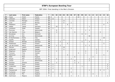| P  | Last name       | <b>First name</b> | Federation  | $\mathbf T$    | 01             | 02             | 03             | 04             | 05 | 06             | 07 | 08             | 09             | 10             | 11             | 12           | 13           | 14             | 15 | 16             |
|----|-----------------|-------------------|-------------|----------------|----------------|----------------|----------------|----------------|----|----------------|----|----------------|----------------|----------------|----------------|--------------|--------------|----------------|----|----------------|
| 65 | Cayez           | Vicent            | France      | 12             |                |                |                |                |    |                |    | 12             |                |                |                |              |              |                |    |                |
| 66 | Lehtonen        | Oskari            | Finland     | 12             | 12             |                |                |                |    |                |    |                |                |                |                |              |              |                |    |                |
| 67 | Leonidas        | Maragos           | Greece      | 12             |                |                |                | 12             |    |                |    |                |                |                |                |              |              |                |    |                |
| 68 | Lund            | Sverre            | Norway      | 12             |                |                |                | 6              |    | $\overline{2}$ |    |                |                |                |                |              |              |                |    | 4              |
| 69 | Maddaloni       | Enrico            | Italy       | 12             |                |                |                |                | 6  |                |    |                |                |                |                |              |              |                | 6  |                |
| 70 | Gabler          | Tobias            | Germany     | $11$           |                | 10             |                |                |    |                |    |                |                |                |                |              |              |                |    |                |
| 71 | Jacobsson       | Peder             | Sweden      | 11             | 5              |                |                | $\mathbf{1}$   |    | 5              |    |                |                |                |                |              |              |                |    |                |
| 72 | Plummen         | Ton               | Netherlands | 11             |                | 6              |                |                |    |                |    |                |                |                | $\overline{4}$ |              |              |                |    |                |
| 73 | Van Damme       | Chris             | Belgium     | 11             |                | 3              |                |                |    |                | 5  |                |                |                |                |              |              | $\mathbf{3}$   |    |                |
| 74 | Brondsted       | Kim               | Denmark     | 10             |                |                |                |                |    |                |    |                | 6              | 4              |                |              |              |                |    |                |
| 75 | de Vries        | Alex              | Netherlands | 10             |                |                |                |                |    |                |    |                |                |                | 10             |              |              |                |    |                |
| 76 | Di Donfrancesco | Dante             | Italy       | 10             |                |                |                |                |    |                |    |                |                |                |                |              |              |                | 10 |                |
| 77 | Gauffin         | Claes             | Sweden      | 10             |                |                |                | $\overline{4}$ |    |                |    |                |                | $\overline{2}$ |                |              |              | $\overline{4}$ |    |                |
| 78 | Krämer          | Michael           | Germany     | 10             |                |                | $\overline{2}$ |                |    |                |    |                | $\overline{5}$ |                | $\mathfrak{Z}$ |              |              |                |    |                |
| 79 | Raatikanen      | Teemu             | Finland     | 10             |                |                |                |                | 5  |                |    |                |                |                |                |              |              |                | 5  |                |
| 80 | van der Griend  | Marco             | Netherlands | 10             |                | 3              | 2              |                |    |                |    |                |                | 3              | $\overline{2}$ |              |              |                |    |                |
| 81 | Östman          | Joakim            | Sweden      | 10             |                |                |                | 10             |    |                |    |                |                |                |                |              |              |                |    |                |
| 82 | Andersson       | Magnus            | Sweden      | 9              |                |                |                | 4              |    |                |    |                |                |                |                |              | 5            |                |    |                |
| 83 | Bögehave        | Martin            | Denmark     | 9              |                | $\overline{2}$ |                |                |    |                |    |                |                | 4              |                |              | 1            |                |    | $\overline{2}$ |
| 84 | Fransson        | Tony              | Sweden      | 9              |                |                |                |                |    |                |    | $\overline{4}$ |                | 1              |                |              | 4            |                |    |                |
| 85 | Mantovani       | Luca              | Italy       | 9              |                |                |                |                | 4  |                |    |                |                |                |                |              |              |                | 5  |                |
| 86 | Wells           | Mark              | England     | 9              |                |                |                |                |    |                | 6  |                |                |                |                | $\mathbf{3}$ |              |                |    |                |
| 87 | Dreyer          | Dirk              | Germany     | 8              |                | $\overline{4}$ |                |                |    | $\overline{2}$ |    |                |                |                | $\overline{2}$ |              |              |                |    |                |
| 88 | Jansen          | Luc               | Netherlands | 8              |                |                |                |                |    |                | 6  |                |                |                | $\overline{2}$ |              |              |                |    |                |
| 89 | Karestos        | Dimitris          | Greece      | 8              |                | $\overline{2}$ |                |                |    |                | 3  | 3              |                |                |                |              |              |                |    |                |
| 90 | Konsteri        | Sami              | Finland     | 8              | 5              |                |                |                |    |                |    |                |                |                |                |              |              |                |    | 3              |
| 91 | Linderholm      | Niklas            | Sweden      | 8              | $\overline{2}$ |                |                |                |    |                |    |                | $\mathbf{1}$   |                |                |              |              |                |    | 5              |
| 92 | Olsson          | Mats              | Sweden      | 8              | 4              |                |                |                |    | $\overline{2}$ |    |                |                |                |                |              |              |                |    | $\overline{2}$ |
| 93 | Piwowarczyk     | Raval             | Poland      | 8              |                |                |                |                |    |                |    |                |                |                | $\mathbf 1$    |              |              | 4              | 3  |                |
| 94 | Turtiainen      | Jussi             | Finland     | 8              | $\overline{4}$ |                |                |                |    | $\overline{4}$ |    |                |                |                |                |              |              |                |    |                |
| 95 | Scammell        | Phil              | England     | 7              |                |                | 4              |                |    |                |    |                |                |                |                | 3            |              |                |    |                |
| 96 | Zachrisson      | Magnus            | Sweden      | $\overline{7}$ |                |                |                |                |    | 3              |    | $\overline{2}$ |                |                |                |              | $\mathbf{1}$ |                |    | $\mathbf{1}$   |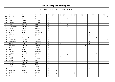| P   | Last name    | First name   | Federation  | $\mathbf T$ | 01             | 02 | 03 | 04 | 05             | 06 | 07             | 08 | 09             | 10 | 11             | 12 | 13           | 14             | 15             | 16 |
|-----|--------------|--------------|-------------|-------------|----------------|----|----|----|----------------|----|----------------|----|----------------|----|----------------|----|--------------|----------------|----------------|----|
| 97  | Andersin     | Erik         | Sweden      | 6           |                |    |    |    |                |    |                |    |                |    |                |    |              |                |                | 6  |
| 98  | Benson       | Donald       | Italy       | 6           |                |    |    |    | 6              |    |                |    |                |    |                |    |              |                |                |    |
| 99  | Blixt        | Martin       | Sweden      | 6           | $\overline{2}$ |    |    |    |                | 4  |                |    |                |    |                |    |              |                |                |    |
| 100 | Carlsson     | Göran        | Sweden      | 6           |                |    | 6  |    |                |    |                |    |                |    |                |    |              |                |                |    |
| 101 | Celli        | Maurizio     | Italy       | 6           |                |    |    |    | 3              |    |                |    | 3              |    |                |    |              |                |                |    |
| 102 | Di francesco | Antonio      | Italy       | 6           |                |    |    |    | $\overline{2}$ |    |                |    |                |    |                |    |              |                | 4              |    |
| 103 | Falkhäll     | Stefan       | Sweden      | 6           |                |    |    | 6  |                |    |                |    |                |    |                |    |              |                |                |    |
| 104 | Greenall     | Wayne        | England     | 6           |                |    |    |    |                |    |                |    |                |    |                | 6  |              |                |                |    |
| 105 | Groen        | Erwin        | Netherlands | 6           |                |    |    |    |                |    |                |    |                |    | 6              |    |              |                |                |    |
| 106 | Günther      | Kai          | Germany     | 6           |                |    |    |    |                |    |                |    | $\mathfrak{Z}$ |    | $\mathfrak{Z}$ |    |              |                |                |    |
| 107 | Nielsen      | Lars         | Denmark     | 6           |                |    |    |    |                | 5  |                |    |                |    | $\mathbf{1}$   |    |              |                |                |    |
| 108 | Pedersen     | Glenn Morten | Norway      | 6           |                |    |    |    |                |    |                |    |                |    |                |    | 6            |                |                |    |
| 109 | Pettersson   | Christer     | Sweden      | 6           |                |    |    |    |                |    |                |    |                |    |                |    |              |                |                | 6  |
| 110 | Rechenberg   | Christian    | Germany     | 6           |                |    |    |    |                |    |                |    |                |    | 6              |    |              |                |                |    |
| 111 | Smith        | Tony         | Germany     | 6           |                |    | 4  |    |                |    |                |    |                |    | $\overline{2}$ |    |              |                |                |    |
| 112 | Søndberg     | Christian    | Denmark     | 6           |                |    |    |    |                |    |                |    |                | 6  |                |    |              |                |                |    |
| 113 | Tidd         | James        | England     | 6           |                |    |    |    |                |    |                |    |                |    |                | 6  |              |                |                |    |
| 114 | Wozny        | Martin       | Denmark     | 6           |                |    |    |    |                |    |                | 6  |                |    |                |    |              |                |                |    |
| 115 | Aahman       | Sören        | Denmark     | 6           |                |    |    |    |                | 6  |                |    |                |    |                |    |              |                |                |    |
| 116 | Ahlquist     | Michael      | Sweden      | 5           |                |    |    |    | 4              |    |                |    |                |    |                |    | $\mathbf{1}$ |                |                |    |
| 117 | D'Elia       | Saverio      | Italy       | 5           |                |    |    |    | 5              |    |                |    |                |    |                |    |              |                |                |    |
| 118 | Evaggelidis  | Antonis      | Greece      | 5           |                |    | 5  |    |                |    |                |    |                |    |                |    |              |                |                |    |
| 119 | Evans        | Paul         | England     | 5           |                |    |    |    |                |    |                |    |                |    |                | 5  |              |                |                |    |
| 120 | Falzon       | Raymond      | Malta       | 5           |                |    |    |    |                |    | $\mathbf{1}$   |    |                |    |                |    |              |                | $\overline{4}$ |    |
| 121 | Galletti     | Giovanni     | Italy       | 5           |                |    |    |    |                |    |                |    | 5              |    |                |    |              |                |                |    |
| 122 | Galvez       | Raul         | Spain       | 5           |                |    |    |    |                |    |                | 5  |                |    |                |    |              |                |                |    |
| 123 | Hamed        | Norman       | England     | 5           |                |    |    |    |                |    |                |    |                |    |                | 5  |              |                |                |    |
| 124 | Heine        | Frank        | Germany     | 5           |                |    |    |    |                |    |                |    |                |    | 3              |    |              | $\overline{2}$ |                |    |
| 125 | Letchford    | Steve        | England     | 5           |                | 5  |    |    |                |    |                |    |                |    |                |    |              |                |                |    |
| 126 | Lindegren    | Thomas       | Sweden      | 5           |                |    |    |    |                |    | 5              |    |                |    |                |    |              |                |                |    |
| 127 | Malchiodi    | Mauro        | Italy       | 5           |                | 3  |    |    |                |    | $\overline{2}$ |    |                |    |                |    |              |                |                |    |
| 128 | Maatta       | Herry        | Finland     | 5           |                |    |    |    |                |    |                |    |                |    |                |    |              |                | 5              |    |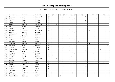| P   | Last name    | First name   | Federation  | $\mathbf{T}$            | 01             | 02             | 03           | 04             | 05 | 06             | 07             | 08 | 09 | 10 | 11             | $12$           | 13 | 14 | 15           | 16             |
|-----|--------------|--------------|-------------|-------------------------|----------------|----------------|--------------|----------------|----|----------------|----------------|----|----|----|----------------|----------------|----|----|--------------|----------------|
| 129 | Plummen      | <b>Nick</b>  | Netherlands | 5                       |                |                |              |                |    |                |                |    |    | 5  |                |                |    |    |              |                |
| 130 | Quintero     | Mario        | Malta       | $\overline{\mathbf{5}}$ |                |                |              |                |    |                | $\overline{a}$ |    |    |    |                |                | 3  |    |              |                |
| 131 | Roos         | Mikael       | Sweden      | 5                       |                |                |              |                |    |                |                |    |    | 5  |                |                |    |    |              |                |
| 132 | Sainio       | Peter        | Sweden      | 5                       |                |                |              | $\mathbf{1}$   |    |                | $\overline{4}$ |    |    |    |                |                |    |    |              |                |
| 133 | Sassen       | Michael      | Netherlands | 5                       |                | 5              |              |                |    |                |                |    |    |    |                |                |    |    |              |                |
| 134 | Sie          | Morten       | Denmark     | 5                       |                |                |              | 5              |    |                |                |    |    |    |                |                |    |    |              |                |
| 135 | Sydow        | Ralf         | Germany     | 5                       |                |                |              |                |    |                |                |    |    | 5  |                |                |    |    |              |                |
| 136 | van Baest    | Gert Jan     | Netherlands | 5                       |                |                |              |                |    |                |                |    |    |    | 5              |                |    |    |              |                |
| 137 | Barrett      | Dominic      | England     | 4                       |                |                |              |                |    |                | $\overline{4}$ |    |    |    |                |                |    |    |              |                |
| 138 | Brandeskov   | Michael      | Denmark     | 4                       |                |                |              | 4              |    |                |                |    |    |    |                |                |    |    |              |                |
| 139 | Cuomo        | Giuseppe     | Italy       | 4                       |                |                |              |                | 4  |                |                |    |    |    |                |                |    |    |              |                |
| 140 | Devlin       | Leon         | England     | 4                       |                |                |              |                |    |                |                |    |    |    |                | 4              |    |    |              |                |
| 141 | Farrugia     | <b>Brian</b> | Malta       | $\overline{\mathbf{4}}$ |                |                |              |                |    |                | $\overline{4}$ |    |    |    |                |                |    |    |              |                |
| 142 | Frouvelle    | Serge        | France      | 4                       |                |                |              |                |    |                |                | 4  |    |    |                |                |    |    |              |                |
| 143 | Grabovac     | Michael      | Germany     | 4                       |                |                |              |                |    |                |                |    |    |    | $\overline{4}$ |                |    |    |              |                |
| 144 | Halvarsson   | Pontus       | Sweden      | $\boldsymbol{4}$        |                |                |              |                |    |                |                |    |    |    |                |                |    |    |              | $\overline{4}$ |
| 145 | Hansen       | Jacob        | Denmark     | 4                       |                |                |              | $\overline{4}$ |    |                |                |    |    |    |                |                |    |    |              |                |
| 146 | Hergenröder  | Dominik      | Germany     | $\overline{\mathbf{4}}$ |                |                |              |                |    |                |                |    |    |    |                |                |    | 4  |              |                |
| 147 | Herman       | Owe          | Norway      | $\overline{\mathbf{4}}$ |                |                |              |                |    |                |                |    |    | 4  |                |                |    |    |              |                |
| 148 | Highgate     | <b>Neil</b>  | England     | $\boldsymbol{4}$        |                |                |              |                |    |                | $\overline{2}$ |    |    |    |                | $\mathbf{1}$   |    |    | $\mathbf{1}$ |                |
| 149 | Jehkinen     | Joonas       | Finland     | 4                       | $\overline{4}$ |                |              |                |    |                |                |    |    |    |                |                |    |    |              |                |
| 150 | Klujeff      | Henrik       | Denmark     | 4                       |                |                |              |                |    | $\overline{4}$ |                |    |    |    |                |                |    |    |              |                |
| 151 | Koning       | Eric         | Netherlands | 4                       |                | 4              |              |                |    |                |                |    |    |    |                |                |    |    |              |                |
| 152 | Maragos      | Leonidas     | Greece      | $\boldsymbol{4}$        |                |                | $\mathbf{1}$ |                |    |                |                |    |    | 3  |                |                |    |    |              |                |
| 153 | Martino      | Alessandro   | Italy       | $\overline{\mathbf{4}}$ |                |                |              |                |    |                |                |    |    |    |                |                |    |    | 4            |                |
| 154 | Parker       | Dave         | England     | 4                       |                |                |              |                |    |                |                |    |    |    |                | $\overline{4}$ |    |    |              |                |
| 155 | Pedersen     | Geir Olav    | Norway      | 4                       |                |                |              | $\mathbf{1}$   |    |                |                |    |    | 3  |                |                |    |    |              |                |
| 156 | Pesonen      | Jukka        | Finland     | $\overline{\mathbf{4}}$ | $\overline{4}$ |                |              |                |    |                |                |    |    |    |                |                |    |    |              |                |
| 157 | Rodriguez    | Paco         | Spain       | 4                       |                | $\overline{4}$ |              |                |    |                |                |    |    |    |                |                |    |    |              |                |
| 158 | Rossi        | Federico     | Italy       | 4                       |                |                |              |                |    |                |                |    |    |    |                |                |    |    | 4            |                |
| 159 | Sanbækken    | Mads         | Norway      | 4                       |                |                |              |                |    |                |                |    |    | 4  |                |                |    |    |              |                |
| 160 | Schwarzbauer | Christian    | Austria     | 4                       |                |                | 4            |                |    |                |                |    |    |    |                |                |    |    |              |                |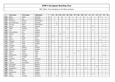| P   | Last name     | First name   | Federation  | $\mathbf{T}$   | 01 | 02             | 03 | 04             | 05           | 06 | 07 | 08           | 09 | 10 | 11           | 12             | 13 | 14 | 15             | 16 |
|-----|---------------|--------------|-------------|----------------|----|----------------|----|----------------|--------------|----|----|--------------|----|----|--------------|----------------|----|----|----------------|----|
| 161 | <b>Blase</b>  | Oliver       | Germany     | 3              |    |                |    |                |              |    |    |              |    |    |              |                |    | 3  |                |    |
| 162 | <b>Breuch</b> | Jan          | Denmark     | 3              |    |                |    |                |              |    |    |              |    |    | $\mathbf{3}$ |                |    |    |                |    |
| 163 | Brinkman      | Dennis       | Netherlands | 3              |    |                |    |                |              |    | 3  |              |    |    |              |                |    |    |                |    |
| 164 | Dan Mortensen | Jimmy        | Denmark     | 3              |    | 3              |    |                |              |    |    |              |    |    |              |                |    |    |                |    |
| 165 | de Jong       | Mark         | Netherlands | 3              |    | 3              |    |                |              |    |    |              |    |    |              |                |    |    |                |    |
| 166 | Eason         | Daniel       | England     | 3              |    |                |    |                |              |    |    | $\mathbf{1}$ |    |    |              | $\overline{2}$ |    |    |                |    |
| 167 | Garilli       | Antonio      | Italy       | 3              |    |                |    |                | 3            |    |    |              |    |    |              |                |    |    |                |    |
| 168 | Hall          | <b>Steve</b> | England     | 3              |    |                |    |                |              |    |    |              |    |    |              | 3              |    |    |                |    |
| 169 | Hammarberg    | Bo           | Sweden      | 3              |    |                |    | 3              |              |    |    |              |    |    |              |                |    |    |                |    |
| 170 | Heinilä       | Sami         | Finland     | 3              |    |                | 3  |                |              |    |    |              |    |    |              |                |    |    |                |    |
| 171 | Hurri         | Kari         | Finland     | 3              | 3  |                |    |                |              |    |    |              |    |    |              |                |    |    |                |    |
| 172 | Isaia         | Paolo        | Italy       | 3              |    |                |    |                | $\mathbf{1}$ |    |    |              |    |    |              |                |    |    | $\overline{2}$ |    |
| 173 | Kern Jr.      | Fritz        | Austria     | 3              |    |                |    |                |              |    |    |              |    |    |              |                |    | 3  |                |    |
| 174 | Lindgren      | Jussi        | Finland     | 3              | 3  |                |    |                |              |    |    |              |    |    |              |                |    |    |                |    |
| 175 | Ljung         | Peter        | Sweden      | 3              |    |                |    |                |              |    |    |              |    |    |              |                | 3  |    |                |    |
| 176 | Lucarelli     | Luigi        | Italy       | 3              |    |                |    |                |              |    |    |              |    |    |              |                |    |    | 3              |    |
| 177 | Lundin        | Mattias      | Sweden      | 3              |    |                | 3  |                |              |    |    |              |    |    |              |                |    |    |                |    |
| 178 | Normann       | Christer     | Sweden      | 3              |    |                |    |                |              |    |    |              |    | 3  |              |                |    |    |                |    |
| 179 | Pascual       | Edwin        | Spain       | 3              |    |                |    |                |              |    |    | 3            |    |    |              |                |    |    |                |    |
| 180 | Rabin         | Yahav        | Israel      | 3              |    |                |    |                |              |    | 3  |              |    |    |              |                |    |    |                |    |
| 181 | Saldamarco    | Pasquale     | Italy       | 3              |    |                |    |                |              |    |    |              |    |    |              |                |    |    | 3              |    |
| 182 | Triulci       | Andrea       | Italy       | 3              |    |                |    |                | 3            |    |    |              |    |    |              |                |    |    |                |    |
| 183 | Tscharke      | Uwe          | Germany     | 3              |    |                |    |                |              |    |    |              |    |    |              | 3              |    |    |                |    |
| 184 | Tybl          | Thomas       | Austria     | 3              |    |                |    |                |              |    |    |              |    |    |              |                |    | 3  |                |    |
| 185 | Tzounis       | Alexandros   | Greece      | 3              |    |                | 3  |                |              |    |    |              |    |    |              |                |    |    |                |    |
| 186 | Van Eyken     | Yves         | Belgium     | 3              |    |                |    |                |              |    |    | 3            |    |    |              |                |    |    |                |    |
| 187 | Vandoren      | Toby         | Belgium     | 3              |    |                |    |                |              |    |    |              |    |    |              |                | 3  |    |                |    |
| 188 | Wangenfors    | Mats         | Sweden      | 3              |    |                |    |                |              |    |    |              |    | 3  |              |                |    |    |                |    |
| 189 | Wehlin        | Jonas        | Sweden      | 3              |    |                |    | 3              |              |    |    |              |    |    |              |                |    |    |                |    |
| 190 | Wetterlund    | Mats         | Sweden      | 3              |    |                |    | $\mathfrak{Z}$ |              |    |    |              |    |    |              |                |    |    |                |    |
| 191 | Baird         | Garry        | England     | $\mathbf{2}$   |    |                |    |                |              |    |    |              |    |    |              | 2              |    |    |                |    |
| 192 | <b>Bandus</b> | Andreas      | Germany     | $\overline{2}$ |    | $\overline{2}$ |    |                |              |    |    |              |    |    |              |                |    |    |                |    |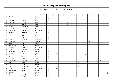| P   | Last name       | First name  | Federation  | $\mathsf{T}$            | 01             | 02             | 03 | 04             | 05             | 06             | 07             | 08 | 09             | 10           | 11             | 12             | 13 | 14             | 15             | 16           |
|-----|-----------------|-------------|-------------|-------------------------|----------------|----------------|----|----------------|----------------|----------------|----------------|----|----------------|--------------|----------------|----------------|----|----------------|----------------|--------------|
| 193 | <b>Bland</b>    | Ken         | Belgium     | $\overline{2}$          |                |                |    |                |                |                |                |    |                |              |                | $\overline{2}$ |    |                |                |              |
| 194 | Boccato         | Marco       | Italy       | $\overline{\mathbf{c}}$ |                |                |    |                | $\overline{2}$ |                |                |    |                |              |                |                |    |                |                |              |
| 195 | <b>Brissett</b> | Marco       | Italy       | $\overline{\mathbf{c}}$ |                |                |    |                |                |                |                |    |                |              |                |                |    |                | $\overline{2}$ |              |
| 196 | Canevari        | Enrico      | Italy       | $\overline{\mathbf{2}}$ |                |                |    |                | $\mathbf{1}$   |                |                |    |                |              |                |                |    |                | $\mathbf 1$    |              |
| 197 | Coppa           | Stefano     | Italy       | $\overline{2}$          |                |                |    |                | -1             |                |                |    | $\mathbf{1}$   |              |                |                |    |                |                |              |
| 198 | Esposito        | Armando     | Italy       | $\overline{\mathbf{c}}$ |                |                |    |                |                |                |                |    | $\overline{2}$ |              |                |                |    |                |                |              |
| 199 | Fleischhacker   | Gerhard     | Austria     | $\overline{\mathbf{c}}$ |                |                |    |                |                |                |                |    |                |              |                |                |    | $\overline{2}$ |                |              |
| 200 | Franssen        | Johnny      | Netherlands | $\overline{2}$          |                |                |    |                |                |                | $\overline{2}$ |    |                |              |                |                |    |                |                |              |
| 201 | Giacomelli      | Giacomo     | Italy       | $\overline{\mathbf{c}}$ |                |                |    |                |                |                |                |    |                |              |                |                |    |                | 2              |              |
| 202 | Halme           | Ari         | Finland     | $\overline{\mathbf{c}}$ |                |                |    | $\overline{2}$ |                |                |                |    |                |              |                |                |    |                |                |              |
| 203 | Hossi           | Olli        | Finland     | $\overline{\mathbf{2}}$ | $\overline{2}$ |                |    |                |                |                |                |    |                |              |                |                |    |                |                |              |
| 204 | Immonen         | Juha        | Finland     | $\overline{2}$          | 2              |                |    |                |                |                |                |    |                |              |                |                |    |                |                |              |
| 205 | Jensen          | Thomas      | Denmark     | $\overline{2}$          |                |                |    | $\overline{2}$ |                |                |                |    |                |              |                |                |    |                |                |              |
| 206 | Jorgensen       | Per         | Denmark     | $\overline{2}$          |                |                |    |                |                |                |                |    |                |              | $\overline{2}$ |                |    |                |                |              |
| 207 | Kalio           | Juuso       | Finland     | $\overline{\mathbf{c}}$ |                |                |    | $\overline{2}$ |                |                |                |    |                |              |                |                |    |                |                |              |
| 208 | Kemppainen      | Jouni       | Sweden      | $\overline{2}$          |                |                |    |                |                | $\overline{2}$ |                |    |                |              |                |                |    |                |                |              |
| 209 | Kremer          | Sandor      | Netherlands | $\overline{\mathbf{c}}$ |                |                |    |                |                |                | $\overline{2}$ |    |                |              |                |                |    |                |                |              |
| 210 | Lebon           | Jean Marc   | Belgium     | $\overline{\mathbf{c}}$ |                |                |    |                |                |                |                |    | $\mathbf{1}$   |              | $\mathbf{1}$   |                |    |                |                |              |
| 211 | Lindbäck        | Lars        | Sweden      | $\overline{\mathbf{c}}$ |                |                |    | $\overline{2}$ |                |                |                |    |                |              |                |                |    |                |                |              |
| 212 | Nicolas         | Alain       | France      | $\overline{2}$          |                | $\overline{2}$ |    |                |                |                |                |    |                |              |                |                |    |                |                |              |
| 213 | Nielsen         | Jesper      | Denmark     | $\overline{2}$          |                |                |    |                |                | $\mathbf{1}$   |                |    |                | $\mathbf{1}$ |                |                |    |                |                |              |
| 214 | Nunzio          | Romano      | Italy       | $\overline{\mathbf{c}}$ |                |                |    |                |                |                |                |    | $\overline{2}$ |              |                |                |    |                |                |              |
| 215 | Oksanen         | Mika        | Finland     | $\overline{2}$          |                |                |    |                |                |                |                |    | $\overline{2}$ |              |                |                |    |                |                |              |
| 216 | Panzenböck      | Manfred     | Austria     | $\overline{2}$          |                |                |    |                |                |                |                |    |                |              |                |                |    | 2              |                |              |
| 217 | Rives           | Mickel      | France      | $\overline{2}$          |                |                |    |                |                |                |                | 2  |                |              |                |                |    |                |                |              |
| 218 | Roos            | Peter       | Sweden      | $\overline{\mathbf{c}}$ |                |                |    |                |                | $\overline{2}$ |                |    |                |              |                |                |    |                |                |              |
| 219 | Sanchez         | Pierre-Luc  | France      | $\overline{2}$          |                |                |    |                |                |                |                | 2  |                |              |                |                |    |                |                |              |
| 220 | Selier          | Wesley      | Netherlands | $\overline{2}$          |                | $\overline{2}$ |    |                |                |                |                |    |                |              |                |                |    |                |                |              |
| 221 | Van Eyken       | Sven        | Belgium     | $\overline{\mathbf{2}}$ |                |                |    |                |                |                |                |    | $\overline{a}$ |              |                |                |    |                |                |              |
| 222 | Backe           | Patrick     | Sweden      | 1                       |                |                |    |                |                |                |                |    |                |              |                |                |    |                |                | $\mathbf{1}$ |
| 223 | Bak             | Niels Jacob | Sweden      | 1                       |                |                |    |                |                |                |                |    |                |              |                |                |    |                |                | $\mathbf{1}$ |
| 224 | Baker           | Gary R.     | England     | $\mathbf{1}$            |                |                |    |                |                |                |                |    |                |              |                | $\mathbf{1}$   |    |                |                |              |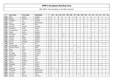| P   | Last name      | First name | Federation  | $\mathsf{T}$ | 01           | 02           | 03           | 04           | 05             | 06           | 07           | 08           | 09           | 10 | 11          | 12           | 13 | 14           | 15           | 16           |
|-----|----------------|------------|-------------|--------------|--------------|--------------|--------------|--------------|----------------|--------------|--------------|--------------|--------------|----|-------------|--------------|----|--------------|--------------|--------------|
| 225 | Biehl          | Joakim     | Sweden      | 1            |              |              |              |              |                |              | $\mathbf{1}$ |              |              |    |             |              |    |              |              |              |
| 226 | <b>Bunaes</b>  | Tommy      | Norway      | $\mathbf 1$  |              |              |              |              |                |              |              |              |              |    |             |              |    |              |              | $\mathbf{1}$ |
| 227 | Chatfield      | Lee        | England     | 1            |              |              |              |              |                |              |              |              |              |    |             | $\mathbf{1}$ |    |              |              |              |
| 228 | Claus          | Frans      | Netherlands | $\mathbf 1$  |              | $\mathbf{1}$ |              |              |                |              |              |              |              |    |             |              |    |              |              |              |
| 229 | D'Achille      | Niko       | Italy       | $\mathbf 1$  |              |              | 1            |              |                |              |              |              |              |    |             |              |    |              |              |              |
| 230 | Gjertsen       | Carsten    | Denmark     | 1            |              |              |              |              |                |              |              |              |              | 1  |             |              |    |              |              |              |
| 231 | Grotowski      | Jacek      | Poland      | 1            |              |              |              |              |                |              |              |              |              |    |             |              |    |              | $\mathbf{1}$ |              |
| 232 | Grundschober   | Leopold    | Austria     | $\mathbf 1$  |              |              |              |              |                |              |              |              |              |    |             |              |    | $\mathbf{1}$ |              |              |
| 233 | Hewitt         | Danny      | England     | $\mathbf 1$  |              |              |              |              |                |              |              |              |              |    |             | $\mathbf 1$  |    |              |              |              |
| 234 | Holmberg       | Thomas     | Sweden      | 1            |              |              |              | $\mathbf{1}$ |                |              |              |              |              |    |             |              |    |              |              |              |
| 235 | Isaksson       | Kjell      | Sweden      | 1            |              |              |              | $\mathbf{1}$ |                |              |              |              |              |    |             |              |    |              |              |              |
| 236 | Kendall        | Robert     | England     | $\mathbf 1$  |              |              |              |              |                |              |              |              |              |    | $\mathbf 1$ |              |    |              |              |              |
| 237 | Konttila       | Tuomo      | Finland     | $\mathbf 1$  | $\mathbf 1$  |              |              |              |                |              |              |              |              |    |             |              |    |              |              |              |
| 238 | Larsen         | Kenneth    | Norway      | $\mathbf 1$  |              |              |              |              |                |              |              |              |              |    |             |              | 1  |              |              |              |
| 239 | Masetti        | Loris      | Italy       | 1            |              |              |              |              |                |              |              |              |              |    |             |              |    |              | $\mathbf{1}$ |              |
| 240 | McCorkindale   | lan        | England     | $\mathbf 1$  |              |              |              |              |                |              | $\mathbf{1}$ |              |              |    |             |              |    |              |              |              |
| 241 | Montfort Gomez | Lluis      | Spain       | $\mathbf 1$  |              |              |              |              |                |              |              | $\mathbf{1}$ |              |    |             |              |    |              |              |              |
| 242 | Morig          | Oliver     | Germany     | $\mathbf 1$  |              |              |              |              |                | $\mathbf{1}$ |              |              |              |    |             |              |    |              |              |              |
| 243 | Nickel         | Jens       | Germany     | $\mathbf 1$  |              | $\mathbf{1}$ |              |              |                |              |              |              |              |    |             |              |    |              |              |              |
| 244 | Ohlrogge       | Harald     | Germany     | $\mathbf 1$  |              |              |              |              |                |              | $\mathbf{1}$ |              |              |    |             |              |    |              |              |              |
| 245 | Papakostas     | Kostas     | Greece      | 1            |              |              |              |              |                |              |              | $\mathbf{1}$ |              |    |             |              |    |              |              |              |
| 246 | Romano         | Nunzio     | Italy       | 1            |              |              |              |              |                |              |              |              |              |    |             |              |    |              | $\mathbf{1}$ |              |
| 247 | Rosado         | Javier     | Spain       | 1            |              |              |              |              |                |              |              | $\mathbf 1$  |              |    |             |              |    |              |              |              |
| 248 | Rossi          | Rossano    | Italy       | 1            |              |              |              |              | $\overline{1}$ |              |              |              |              |    |             |              |    |              |              |              |
| 249 | Salonen        | Petteri    | Finland     | 1            |              |              | $\mathbf{1}$ |              |                |              |              |              |              |    |             |              |    |              |              |              |
| 250 | Stoppardi      | Franco     | Russia      | 1            |              |              |              |              |                |              |              |              |              |    |             |              |    | $\mathbf{1}$ |              |              |
| 258 | Stott          | Paul       | Ireland     | 1            |              |              |              |              |                |              | $\mathbf{1}$ |              |              |    |             |              |    |              |              |              |
| 259 | Saarinen       | Reijo      | Finland     | $\mathbf{1}$ | $\mathbf{1}$ |              |              |              |                |              |              |              |              |    |             |              |    |              |              |              |
| 260 | Thompson       | Tjeu       | Netherlands | 1            |              | $\mathbf{1}$ |              |              |                |              |              |              |              |    |             |              |    |              |              |              |
| 261 | van Gurp       | André      | Netherlands | $\mathbf 1$  |              | $\mathbf{1}$ |              |              |                |              |              |              |              |    |             |              |    |              |              |              |
| 262 | Ventura        | Marc       | Spain       | 1            |              |              |              |              |                |              |              | $\mathbf{1}$ |              |    |             |              |    |              |              |              |
| 263 | Wouters        | Michael    | Germany     | $\mathbf{1}$ |              |              |              |              |                |              |              |              | $\mathbf{1}$ |    |             |              |    |              |              |              |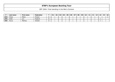|  |  | EBT 2004: Final standing in the Men's Division |  |  |  |
|--|--|------------------------------------------------|--|--|--|
|--|--|------------------------------------------------|--|--|--|

|     | Last name | <b>First name</b> | Federation | O <sub>1</sub> | 02 | 03 | 04 | 05 | 06 | 07 | 08 | 09 | 10 | 11 | 12 | 13 | 14 | 15 | 16 |
|-----|-----------|-------------------|------------|----------------|----|----|----|----|----|----|----|----|----|----|----|----|----|----|----|
| 264 | Ylitalo   | Mikko             | Finland    |                |    |    |    |    |    |    |    |    |    |    |    |    |    |    |    |
| 265 | Zadel     | Jon               | England    |                |    |    |    |    |    |    |    |    |    |    |    |    |    |    |    |
| 266 | Aarup     | Mathias           | Sweden     |                |    |    |    |    |    |    |    |    |    |    |    |    |    |    |    |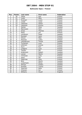#### **Ballmaster Open / Finland**

| Pos.                     | <b>Points</b>           | Last name    | First name    | Federation |
|--------------------------|-------------------------|--------------|---------------|------------|
| 1                        | 30                      | Uotila       | Pasi          | Finland    |
| $\overline{2}$           | 21                      | Luoto        | Mika          | Finland    |
| 3                        | 18                      | Kuossari     | Jouko         | Finland    |
| $\overline{\mathcal{A}}$ | 15                      | Lintilä      | Lasse         | Finland    |
| 5                        | 12                      | Lehtonen     | Oskari        | Finland    |
| 6                        | 10                      | Lehtonen     | Kimmo         | Finland    |
| $\overline{7}$           | 6                       | Aahlen       | Peter         | Sweden     |
| 8                        | 6                       | Mannonen     | Petri         | Finland    |
| 9                        | 6                       | Gross        | Thomas        | Austria    |
| 10                       | 5                       | Ratia        | Jari          | Finland    |
| 11                       | $\overline{5}$          | Jacobsson    | Peder         | Sweden     |
| 12                       | 5                       | Konsteri     | Sami          | Finland    |
| 13                       | $\overline{\mathbf{4}}$ | Olsson       | Mats          | Sweden     |
| 14                       | $\overline{\mathbf{4}}$ | Pesonen      | Jukka         | Finland    |
| 15                       | $\overline{4}$          | Leandersson  | Tomas         | Sweden     |
| 16                       | $\overline{\mathbf{4}}$ | Turtiainen   | Jussi         | Finland    |
| 17                       | 4                       | Jehkinen     | Joonas        | Finland    |
| 18                       | $\overline{3}$          | Hurri        | Kari          | Finland    |
| 19                       | $\overline{3}$          | Lindgren     | Jussi         | Finland    |
| 20                       | $\overline{3}$          | Tiainen      | Olli          | Finland    |
| 21                       | $\overline{3}$          | Andersson    | Robert        | Sweden     |
| 22                       | $\overline{3}$          | Larsen       | Martin        | Sweden     |
| 23                       | $\overline{2}$          | Immonen      | Juha          | Finland    |
| 24                       | $\overline{2}$          | Hossi        | Olli          | Finland    |
| 25                       | $\overline{2}$          | Palermaa     | Osku          | Finland    |
| 26                       | $\overline{2}$          | <b>Blixt</b> | Martin        | Sweden     |
| 27                       | $\overline{2}$          | Linderholm   | Niklas        | Sweden     |
| 28                       | 1                       | Öhman        | Anders        | Sweden     |
| 29                       | 1                       | Konttila     | Tuomo         | Finland    |
| 30                       | $\mathbf{1}$            | Saarinen     | Reijo         | Finland    |
| 31                       | 1                       | Virtanen     | Kai           | Finland    |
| 32                       | 1                       | Williams     | <b>Stuart</b> | England    |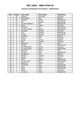### **Bronzen Schietspoel Tournament / Netherlands**

| Pos.                     | <b>Points</b>            | Last name       | First name    | <b>Federation</b> |
|--------------------------|--------------------------|-----------------|---------------|-------------------|
| 1                        | 30                       | Greulich        | Karl Peter    | Germany           |
| $\overline{2}$           | 21                       | Verbruggen      | Gery          | Belgium           |
| $\overline{3}$           | 18                       | Verboon         | Remco         | Netherlands       |
| $\overline{\mathcal{L}}$ | 15                       | Dol             | Ronald        | Netherlands       |
| 5                        | 12                       | van den Bogaard | Ron           | Netherlands       |
| $\overline{6}$           | 10                       | Gabler          | <b>Tobias</b> | Germany           |
| $\overline{7}$           | 6                        | Plummen         | Ton           | Netherlands       |
| 8                        | 6                        | van den Heuvel  | Menno         | Netherlands       |
| $\overline{9}$           | 6                        | Holzapfel       | Michael       | Germany           |
| 10                       | $\overline{5}$           | Krull           | Maarten       | Netherlands       |
| 11                       | $\overline{5}$           | Sassen          | Michael       | Netherlands       |
| 12                       | $\overline{5}$           | Letchford       | <b>Steve</b>  | England           |
| 13                       | $\overline{\mathbf{4}}$  | Dreyer          | <b>Dirk</b>   | Germany           |
| 14                       | $\overline{4}$           | Cundy           | Darren        | England           |
| 15                       | $\overline{4}$           | <b>Block</b>    | Thomas        | Germany           |
| $\overline{16}$          | $\overline{\mathbf{4}}$  | Rodriguez       | Paco          | Spain             |
| 17                       | $\overline{\mathcal{A}}$ | Koning          | Eric          | Netherlands       |
| 18                       | $\overline{3}$           | Dan Mortensen   | Jimmy         | Denmark           |
| 19                       | $\overline{3}$           | van der Griend  | Marco         | Netherlands       |
| 20                       | $\overline{3}$           | Malchiodi       | Mauro         | Italy             |
| $\overline{21}$          | $\overline{3}$           | de Jong         | Mark          | Netherlands       |
| 22                       | $\overline{3}$           | Vandamme        | Chris         | Belgium           |
| 23                       | $\overline{2}$           | <b>Bandus</b>   | Andreas       | Germany           |
| $\overline{24}$          | $\overline{2}$           | Nicolas         | Alain         | France            |
| 25                       | $\overline{2}$           | Selier          | Wesley        | Netherlands       |
| 26                       | $\overline{2}$           | van der Veen    | Wim           | Netherlands       |
| 27                       | $\overline{2}$           | Bøgehave        | Martin        | Denmark           |
| 28                       | 1                        | Thompson        | Tjeu          | Netherlands       |
| 29                       | 1                        | Claus           | Frans         | Netherlands       |
| 30                       | 1                        | <b>Smits</b>    | Peter         | Netherlands       |
| 31                       | 1                        | Nickel          | Jens          | Germany           |
| $\overline{32}$          | 1                        | van Gurp        | André         | Netherlands       |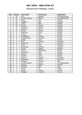### **Brunswick Euro Challenge / Greece**

| Pos.            | <b>Points</b>           | Last name       | <b>First name</b> | Federation      |
|-----------------|-------------------------|-----------------|-------------------|-----------------|
| 1               | 30                      | Krull           | Maarten           | The Netherlands |
| $\overline{2}$  | 21                      | Van den Heuvel  | Menno             | The Netherlands |
| $\overline{3}$  | 18                      | Uotila          | Pasi              | Finland         |
| 4               | 15                      | Froggatt        | <b>Nick</b>       | England         |
| 5               | 12                      | Luoto           | Mika              | Finland         |
| 6               | 10                      | Kanold          | Mikael            | Sweden          |
| $\overline{7}$  | 6                       | Lehtonen        | Kimmo             | Finland         |
| 8               | 6                       | Carlsson        | Göran             | Sweden          |
| 9               | 6                       | Öhman           | Anders            | Sweden          |
| 10              | 5                       | Palermaa        | Osku              | Finland         |
| 11              | $\overline{5}$          | Tiainen         | Olli              | Finland         |
| 12              | $\overline{5}$          | Evaggelidis     | Antonis           | Greece          |
| 13              | $\overline{\mathbf{4}}$ | Schwarzbauer    | Christian         | Austria         |
| 14              | $\overline{4}$          | Aahlen          | Peter             | Sweden          |
| 15              | $\overline{\mathbf{4}}$ | <b>Block</b>    | Thomas            | Germany         |
| 16              | $\overline{\mathbf{4}}$ | Scammell        | Phil              | England         |
| 17              | $\overline{4}$          | Smith           | Tony              | Germany         |
| 18              | $\overline{3}$          | Danielsson      | Christer          | Sweden          |
| 19              | $\overline{3}$          | Lundin          | Mattias           | Sweden          |
| 20              | $\overline{3}$          | <b>Tzounis</b>  | Alexandros        | Greece          |
| 21              | $\overline{3}$          | Mannonen        | Petri             | Finland         |
| 22              | $\overline{3}$          | Heinilä         | Sami              | Finland         |
| 23              | $\overline{2}$          | Karetsos        | <b>Takis</b>      | Greece          |
| $\overline{24}$ | $\overline{2}$          | Krämer          | Michael           | Germany         |
| $\overline{25}$ | $\overline{2}$          | Grabowski       | Achim             | Germany         |
| 26              | $\overline{2}$          | <b>Bulegato</b> | Giuliano          | Italy           |
| $\overline{27}$ | $\overline{2}$          | van der Griend  | Marco             | The Netherlands |
| 28              | 1                       | Salonen         | Petteri           | Finland         |
| 29              | 1                       | D'Achille       | Niko              | Italy           |
| 30              | $\mathbf{1}$            | Aviram          | <b>Or</b>         | Israel          |
| 31              | 1                       | Lintilä         | Lasse             | Finland         |
| 32              | 1                       | Maragos         | Leonidas          | Greece          |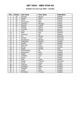### **Sweden Les Lion Cup 2004 / Sweden**

| Pos.                     | <b>Points</b>           | Last name  | <b>First name</b> | Federation |
|--------------------------|-------------------------|------------|-------------------|------------|
| 1                        | 30                      | Eriksson   | Marcus            | Sweden     |
| $\overline{a}$           | 21                      | Hansen     | Petter            | Norway     |
| 3                        | 18                      | Uotila     | Pasi              | Finland    |
| $\overline{\mathcal{A}}$ | 15                      | Koivuniemi | Mika              | Finland    |
| $\overline{5}$           | 12                      | Leonidas   | Maragos           | Greece     |
| 6                        | 10                      | Östman     | Joakim            | Sweden     |
| $\overline{7}$           | 6                       | Falkhäll   | Stefan            | Sweden     |
| 8                        | 6                       | Schröder   | Nikolai           | Austria    |
| 9                        | 6                       | Lund       | Sverre            | Norway     |
| 10                       | $\overline{5}$          | Moor       | Paul              | England    |
| 11                       | $\overline{5}$          | Svensson   | Pär               | Sweden     |
| 12                       | $\overline{5}$          | Sie        | Morten            | Denmark    |
| 13                       | $\overline{4}$          | Hansen     | Jacob             | Denmark    |
| 14                       | $\overline{4}$          | Brandeskov | Michael           | Denmark    |
| 15                       | $\overline{\mathbf{4}}$ | Andersson  | Magnus            | Sweden     |
| $\overline{16}$          | $\overline{4}$          | Gauffin    | Claes             | Sweden     |
| 17                       | $\overline{4}$          | Palermaa   | Osku              | Finland    |
| 18                       | $\overline{3}$          | Öhman      | Anders            | Sweden     |
| 19                       | $\overline{3}$          | Spada      | Amedo             | Italy      |
| 20                       | $\overline{3}$          | Hammarberg | <b>Bo</b>         | Sweden     |
| 21                       | $\overline{3}$          | Wetterlund | Mats              | Sweden     |
| 22                       | $\overline{3}$          | Wehlin     | Jonas             | Sweden     |
| 23                       | $\overline{2}$          | Lindbäck   | Lars              | Sweden     |
| 24                       | $\overline{2}$          | Halme      | Ari               | Finland    |
| 25                       | $\overline{2}$          | Kalio      | Juuso             | Finland    |
| 26                       | $\overline{2}$          | Jensen     | Thomas            | Denmark    |
| 27                       | $\overline{2}$          | Lintilä    | Lasse             | Finland    |
| 28                       | 1                       | Isaksson   | Kjell             | Sweden     |
| 29                       | 1                       | Jacobsson  | Peder             | Sweden     |
| 30                       | 1                       | Froggatt   | <b>Nick</b>       | England    |
| 31                       | 1                       | Sainio     | Peter             | Sweden     |
| 32                       | 1                       | Holmberg   | Thomas            | Sweden     |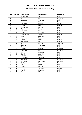### **Memorial Antonio Vendemini / Italy**

| Pos.            | <b>Points</b>  | Last name       | <b>First name</b> | Federation  |
|-----------------|----------------|-----------------|-------------------|-------------|
| 1               | 30             | Bottiglieri     | Alfonso           | Italy       |
| $\overline{2}$  | 21             | Moor            | Paul              | England     |
| $\overline{3}$  | 18             | <b>Bulegato</b> | Giuliano          | Italy       |
| 4               | 15             | Van den Heuvel  | Menno             | Netherlands |
| $\overline{5}$  | 12             | Schröder        | Nikolai           | Austria     |
| 6               | 10             | Uotila          | Pasi              | Finland     |
| $\overline{7}$  | 6              | Maddaloni       | Enrico            | Italy       |
| 8               | 6              | Benson          | Donald            | Italy       |
| 9               | 6              | Virtanen        | Kai               | Finland     |
| 10              | $\overline{5}$ | D'Elia          | Saverio           | Italy       |
| 11              | $\overline{5}$ | Raatikanen      | Teemu             | Finland     |
| 12              | $\overline{5}$ | Spada           | Amedeo            | Italy       |
| 13              | $\overline{4}$ | Mantovani       | Luca              | Italy       |
| $\overline{14}$ | $\overline{4}$ | Lintilä         | Lasse             | Finland     |
| 15              | $\overline{4}$ | Mannonen        | Petri             | Finland     |
| 16              | $\overline{4}$ | Ahlquist        | Michael           | Sweden      |
| 17              | $\overline{4}$ | Cuomo           | Giuseppe          | Italy       |
| 18              | $\overline{3}$ | Triulci         | Andrea            | Italy       |
| 19              | $\overline{3}$ | Larsen          | Martin            | Sweden      |
| 20              | $\overline{3}$ | Froggatt        | <b>Nick</b>       | England     |
| $\overline{21}$ | $\overline{3}$ | Celli           | Maurizio          | Italy       |
| 22              | $\overline{3}$ | Garilli         | Antonio           | Italy       |
| 23              | $\overline{2}$ | Boccato         | Marco             | Italy       |
| 24              | $\overline{2}$ | Di francesco    | Antonio           | Italy       |
| 25              | $\overline{2}$ | Williams        | <b>Stuart</b>     | England     |
| 26              | $\overline{2}$ | Greulich        | Karl Peter        | Germany     |
| 27              | $\overline{2}$ | Smits           | Peter             | Netherlands |
| 28              | 1              | Isaia           | Paolo             | Italy       |
| 29              | 1              | Canevari        | Enrico            | Italy       |
| 30              | 1              | Gross           | Thomas            | Austria     |
| 31              | 1              | Rossi           | Rossano           | Italy       |
| 32              | 1              | Coppa           | Stefano           | Italy       |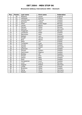### **Brunswick Aalborg International 2004 / Denmark**

| Pos.                     | <b>Points</b>            | Last name      | <b>First name</b> | <b>Federation</b> |
|--------------------------|--------------------------|----------------|-------------------|-------------------|
| 1                        | 30                       | Williams       | <b>Stuart</b>     | England           |
| $\overline{2}$           | 21                       | Lehtonen       | Kimmo             | Finland           |
| $\overline{3}$           | 18                       | Leandersson    | Thomas            | Sweden            |
| $\overline{\mathcal{L}}$ | 15                       | Karlsson       | Tobias            | Sweden            |
| 5                        | 12                       | Olsen          | Svein Roger       | Norway            |
| $\overline{6}$           | 10                       | Larsen         | Martin            | Sweden            |
| $\overline{7}$           | 6                        | Hansen         | Petter            | Norway            |
| 8                        | 6                        | Aahman         | Sören             | Denmark           |
| $\overline{9}$           | 6                        | Torgersen      | Tore              | Norway            |
| 10                       | $\overline{5}$           | Jacobsson      | Peder             | Sweden            |
| 11                       | $\overline{5}$           | Mannonen       | Petri             | Finland           |
| 12                       | $\overline{5}$           | Nielsen        | Lars              | Denmark           |
| 13                       | $\overline{4}$           | Klujeff        | Henrik            | Denmark           |
| 14                       | $\overline{\mathbf{4}}$  | <b>Blixt</b>   | Martin            | Sweden            |
| 15                       | $\overline{4}$           | Ratia          | Jari              | Finland           |
| $\overline{16}$          | $\overline{4}$           | Turtiainen     | Jussi             | Finland           |
| 17                       | $\overline{\mathcal{A}}$ | Kanold         | Mikael            | Sweden            |
| 18                       | $\overline{3}$           | Agerbo         | Jesper            | Denmark           |
| 19                       | $\overline{3}$           | Svensson       | Pär               | Sweden            |
| 20                       | $\overline{3}$           | Öhman          | Anders            | Sweden            |
| $\overline{21}$          | $\overline{3}$           | Zachrisson     | Magnus            | Sweden            |
| 22                       | $\overline{3}$           | <b>Bolleby</b> | Ulf               | Sweden            |
| 23                       | $\overline{2}$           | Dreyer         | <b>Dick</b>       | Germany           |
| $\overline{24}$          | $\overline{2}$           | Olsson         | Mats              | Sweden            |
| 25                       | $\overline{2}$           | Roos           | Peter             | Sweden            |
| 26                       | $\overline{2}$           | Kemppainen     | Jouni             | Sweden            |
| 27                       | $\overline{2}$           | Lund           | Sverre            | Norway            |
| 28                       | 1                        | Spigner        | Robert            | Denmark           |
| 29                       | 1                        | Lintilä        | Lasse             | Finland           |
| 30                       | 1                        | Broström       | Oskar             | Sweden            |
| 31                       | 1                        | Morig          | Oliver            | Germany           |
| 32                       | 1                        | Nielsen        | Jesper            | Denmark           |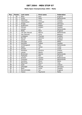### **Malta Open Championships 2004 / Malta**

| Pos.                     | <b>Points</b>           | Last name       | <b>First name</b> | Federation  |
|--------------------------|-------------------------|-----------------|-------------------|-------------|
| 1                        | 30                      | Moor            | Paul              | England     |
| $\overline{a}$           | 21                      | Smits           | Peter             | Netherlands |
| $\overline{3}$           | 18                      | Helminen        | Jouni             | Finland     |
| $\overline{\mathcal{L}}$ | 15                      | Löwenhamn       | Leonard           | Sweden      |
| 5                        | 12                      | Knopp           | Peter             | Germany     |
| 6                        | 10                      | Andersson       | Robert            | Sweden      |
| $\overline{7}$           | 6                       | Ohman           | Anders            | Sweden      |
| 8                        | 6                       | Jansen          | Luc               | Netherlands |
| 9                        | 6                       | Wells           | Mark              | England     |
| 10                       | $\overline{5}$          | van den Heuvel  | Menno             | Netherlands |
| 11                       | $\overline{5}$          | Van Damme       | Chris             | Belgium     |
| 12                       | $\overline{5}$          | Lindegren       | Thomas            | Sweden      |
| 13                       | $\overline{\mathbf{4}}$ | <b>Barrett</b>  | Dominic           | England     |
| 14                       | $\overline{\mathbf{4}}$ | Sainio          | Peter             | Sweden      |
| $\overline{15}$          | $\overline{4}$          | Farrugia        | <b>Brian</b>      | Malta       |
| $\overline{16}$          | $\overline{4}$          | Karlsson        | <b>Tobias</b>     | Sweden      |
| 17                       | $\overline{4}$          | Vd Boogaard     | Ron               | Netherlands |
| 18                       | $\overline{3}$          | Rabin           | Yahav             | Israel      |
| 19                       | $\overline{3}$          | Aviram          | <b>Or</b>         | Israel      |
| 20                       | $\overline{3}$          | Karestos        | <b>Dimitris</b>   | Greece      |
| $\overline{21}$          | $\overline{3}$          | Larsen          | Martin            | Sweden      |
| 22                       | $\overline{3}$          | <b>Brinkman</b> | Dennis            | Netherlands |
| 23                       | $\overline{2}$          | Highgate        | <b>Neil</b>       | England     |
| $\overline{24}$          | $\overline{2}$          | Kremer          | Sandor            | Netherlands |
| $\overline{25}$          | $\overline{2}$          | Franssen        | Johnny            | Netherlands |
| 26                       | $\overline{2}$          | Quintero        | Mario             | Malta       |
| 27                       | $\overline{2}$          | Malchiodi       | Mauro             | Italy       |
| 28                       | $\mathbf{1}$            | Stott           | Paul              | Ireland     |
| 29                       | 1                       | Ohlrogge        | Harald            | Germany     |
| 30                       | $\mathbf{1}$            | <b>Biehl</b>    | Jocke             | Sweden      |
| 31                       | 1                       | McCorkindale    | lan               | England     |
| 32                       | 1                       | Falzon          | Raymond           | Malta       |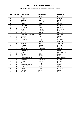### **26 Trofeo Internacional Ciutat de Barcelona / Spain**

| Pos.                     | <b>Points</b>            | Last name        | <b>First name</b> | <b>Federation</b> |
|--------------------------|--------------------------|------------------|-------------------|-------------------|
| 1                        | 30                       | Moor             | Paul              | England           |
| $\overline{2}$           | 21                       | Helminen         | Jouni             | Finland           |
| $\overline{3}$           | 18                       | Verbruggen       | Gery              | Belgium           |
| $\overline{\mathcal{L}}$ | 15                       | Ovide            | Marcial           | Spain             |
| 5                        | 12                       | Cayez            | Vicent            | France            |
| 6                        | 10                       | Froggatt         | <b>Nick</b>       | England           |
| 7                        | 6                        | Greulich         | Carlo             | Germany           |
| 8                        | 6                        | Wozny            | Martin            | Denmark           |
| $\overline{9}$           | 6                        | Vaglia           | Vittorio          | Italy             |
| 10                       | $\overline{5}$           | Spigner          | Robert            | Denmark           |
| 11                       | $\overline{5}$           | Van den Boogaard | Ron               | Netherlands       |
| 12                       | $\overline{5}$           | Galvez           | Raul              | Spain             |
| 13                       | $\overline{4}$           | Argebo           | Jesper            | Denmark           |
| 14                       | $\overline{\mathcal{A}}$ | Fransson         | Tony              | Sweden            |
| 15                       | $\overline{4}$           | Öhman            | Anders            | Sweden            |
| $\overline{16}$          | $\overline{4}$           | Kanold           | Mikael            | Sweden            |
| 17                       | $\overline{\mathcal{A}}$ | Frouvelle        | Serge             | France            |
| 18                       | $\overline{3}$           | Williams         | <b>Stuart</b>     | England           |
| 19                       | $\overline{3}$           | Karetsos         | Dimitros          | Greece            |
| 20                       | $\overline{3}$           | Van eyken        | Yves              | Belgium           |
| 21                       | $\overline{3}$           | <b>Smits</b>     | Peter             | Netherlands       |
| 22                       | $\overline{3}$           | Pascual          | Edwin             | Spain             |
| 23                       | $\overline{2}$           | Spada            | Amedeo            | Italy             |
| 24                       | $\overline{2}$           | Van den heuvel   | Menno             | Netherlands       |
| $\overline{25}$          | $\overline{2}$           | Sanchez          | Pierre-luc        | France            |
| 26                       | $\overline{2}$           | <b>Rives</b>     | Mickel            | France            |
| 27                       | $\overline{2}$           | Zackrisson       | Magnus            | Sweden            |
| 28                       | 1                        | Montfort gomez   | Lluis             | Spain             |
| 29                       | 1                        | Ventura          | Marc              | Spain             |
| 30                       | 1                        | Eason            | Daniel            | England           |
| 31                       | 1                        | Rosado           | Javier            | Spain             |
| 32                       | 1                        | Papakostas       | Kostas            | Greece            |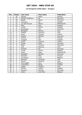### **1st Hungarian Stella Open / Hungary**

| Pos.                     | <b>Points</b>           | Last name        | First name    | Federation  |
|--------------------------|-------------------------|------------------|---------------|-------------|
| 1                        | 30                      | Hansen           | Petter        | Norway      |
| $\overline{a}$           | 21                      | Winther Pedersen | Bo            | Denmark     |
| $\overline{3}$           | 18                      | Baade            | Marco         | Germany     |
| $\overline{\mathcal{A}}$ | 15                      | Svensson         | Par           | Sweden      |
| 5                        | 12                      | van den Heuvel   | Menno         | Netherlands |
| $\overline{6}$           | 10                      | Moor             | Paul          | England     |
| $\overline{7}$           | 6                       | Larsen           | Martin        | Sweden      |
| 8                        | 6                       | Brondsted        | Kim           | Denmark     |
| 9                        | 6                       | Bottiglieri      | Alfonso       | Italy       |
| 10                       | 5                       | Galletti         | Giovanni      | Italy       |
| 11                       | $\overline{5}$          | Gross            | Thomas        | Austria     |
| 12                       | $\overline{5}$          | Krämer           | Michael       | Germany     |
| 13                       | $\overline{4}$          | Tiainen          | Olli          | Finland     |
| 14                       | $\overline{\mathbf{4}}$ | Froggatt         | <b>Nick</b>   | England     |
| 15                       | $\overline{\mathbf{4}}$ | Sacco            | Francois      | France      |
| $\overline{16}$          | $\overline{4}$          | Knopp            | Peter         | Germany     |
| 17                       | $\overline{4}$          | <b>Block</b>     | Thomas        | Germany     |
| 18                       | $\overline{3}$          | Celli            | Maurizio      | Italy       |
| 19                       | $\overline{3}$          | Günther          | Kai           | Germany     |
| 20                       | $\overline{3}$          | Cundy            | Darren        | England     |
| 21                       | $\overline{3}$          | Smits            | Peter         | Netherlands |
| 22                       | $\overline{3}$          | Holzapfel        | Michael       | Germany     |
| 23                       | $\overline{2}$          | Oksanen          | Mika          | Finland     |
| $\overline{24}$          | $\overline{2}$          | Van Eyken        | Sven          | Belgium     |
| 25                       | $\overline{2}$          | Esposito         | Armando       | Italy       |
| 26                       | $\overline{2}$          | Nunzio           | Romano        | Italy       |
| 27                       | $\overline{2}$          | Verbruggen       | Gery          | Belgium     |
| 28                       | $\mathbf{1}$            | Linderholm       | <b>Niklas</b> | Sweden      |
| 29                       | 1                       | Coppa            | Stefano       | Italy       |
| 30                       | 1                       | Öhman            | Anders        | Sweden      |
| 31                       | 1                       | Wouters          | Michael       | Germany     |
| 32                       | 1                       | Lebon            | Jean Marc     | Belgium     |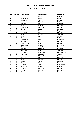#### **Danish Masters / Denmark**

| Pos.                     | <b>Points</b>           | Last name        | <b>First name</b> | Federation     |
|--------------------------|-------------------------|------------------|-------------------|----------------|
| 1                        | 30                      | Lintilä          | Lasse             | Finland        |
| $\overline{2}$           | 21                      | Verbruggen       | Gery              | Belgium        |
| $\overline{3}$           | 18                      | Torgersen        | Tore              | Norway         |
| $\overline{\mathcal{A}}$ | 15                      | Vaglia           | Vittori           | Italy          |
| 5                        | 12                      | Winther          | Bo                | Denmark        |
| 6                        | 10                      | Krull            | Marten            | Netherlands    |
| $\overline{7}$           | 6                       | Søndberg         | Christian         | <b>Denmark</b> |
| 8                        | 6                       | Öhman            | Anders            | Sweden         |
| 9                        | 6                       | Moor             | Paul              | England        |
| 10                       | 5                       | Plummen          | <b>Nick</b>       | Netherlands    |
| 11                       | $\overline{5}$          | Roos             | Mikael            | Sweden         |
| 12                       | $\overline{5}$          | Sydow            | Ralf              | Germany        |
| 13                       | $\overline{\mathbf{4}}$ | Tiainen          | Olli              | Finland        |
| 14                       | $\overline{4}$          | <b>Brøndsted</b> | Kim               | Denmark        |
| 15                       | $\overline{\mathbf{4}}$ | Herman           | Owe               | Norway         |
| 16                       | $\overline{\mathbf{4}}$ | Sanbækken        | Mads              | Norway         |
| 17                       | $\overline{\mathbf{4}}$ | Bøgehave         | Martin            | Denmark        |
| 18                       | $\overline{3}$          | Pedersen         | Geir O.           | Norway         |
| 19                       | $\overline{3}$          | Normann          | Christer          | Sweden         |
| 20                       | $\overline{3}$          | Wangenfors       | Mats              | Sweden         |
| 21                       | $\overline{3}$          | Greind           | Marco v.d         | Netherlands    |
| 22                       | $\overline{3}$          | Maragos          | Leonidas          | Greece         |
| 23                       | $\overline{2}$          | Veen             | Win v.d           | Netherlands    |
| $\overline{24}$          | $\overline{2}$          | Spigner          | Robert            | Denmark        |
| $\overline{25}$          | $\overline{2}$          | Agerbo           | Jesper            | Denmark        |
| 26                       | $\overline{2}$          | Gauffin          | Claes             | Sweden         |
| $\overline{27}$          | $\overline{2}$          | Froggat          | <b>Nick</b>       | England        |
| 28                       | $\mathbf{1}$            | Plummen          | Ton               | Netherlands    |
| 29                       | 1                       | Helminen         | Jouni             | Finland        |
| 30                       | $\mathbf{1}$            | Gjertsen         | Carsten           | Denmark        |
| 31                       | 1                       | Nielsen          | Jesper            | Denmark        |
| 32                       | 1                       | Fransson         | Tony              | Sweden         |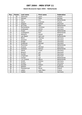### **Dutch Brunswick Open 2004 / Netherlands**

| Pos.                     | <b>Points</b>           | Last name     | First name    | Federation  |
|--------------------------|-------------------------|---------------|---------------|-------------|
| 1                        | 30                      | Helminen      | Jouni         | Finland     |
| $\overline{2}$           | 21                      | Hansen        | Peter         | Norway      |
| $\overline{3}$           | 18                      | <b>Kok</b>    | Eric          | Netherlands |
| $\overline{\mathcal{L}}$ | 15                      | Sacco         | Francois      | France      |
| 5                        | 12                      | Spigner       | Robert        | Denmark     |
| 6                        | 10                      | de Vries      | Alex          | Netherlands |
| $\overline{7}$           | 6                       | Rechenberg    | Christian     | Germany     |
| 8                        | 6                       | Grabowski     | Achim         | Germany     |
| 9                        | 6                       | Groen         | Erwin         | Netherlands |
| 10                       | $\overline{5}$          | vd Bogaard    | Ron           | Netherlands |
| 11                       | $\overline{5}$          | Williams      | <b>Stuart</b> | England     |
| 12                       | $\overline{5}$          | van Baest     | Gert Jan      | Netherlands |
| 13                       | $\overline{\mathbf{4}}$ | <b>Block</b>  | Thomas        | Germany     |
| 14                       | $\overline{\mathbf{4}}$ | Greulich      | Carlo         | Germany     |
| $\overline{15}$          | $\overline{4}$          | Knopp         | Peter         | Germany     |
| $\overline{16}$          | $\overline{4}$          | Grabovac      | Michael       | Germany     |
| 17                       | $\overline{4}$          | Plummen       | Ton           | Netherlands |
| 18                       | $\overline{3}$          | Kramer        | Micheal       | Germany     |
| 19                       | $\overline{3}$          | Verboon       | Remco         | Netherlands |
| 20                       | $\overline{3}$          | Heine         | Frank         | Germany     |
| $\overline{21}$          | $\overline{3}$          | <b>Breuch</b> | Jan           | Denmark     |
| 22                       | $\overline{3}$          | Gunter        | Kai           | Germany     |
| 23                       | $\overline{2}$          | Jorgensen     | Per           | Denmark     |
| $\overline{24}$          | $\overline{2}$          | Jansen        | Luc           | Netherlands |
| $\overline{25}$          | $\overline{2}$          | v.d. Griend   | Marco         | Netherlands |
| 26                       | $\overline{2}$          | Smith         | Antony        | Germany     |
| 27                       | $\overline{2}$          | Dreijer       | <b>Dirk</b>   | Germany     |
| 28                       | $\mathbf{1}$            | Kendall       | Robert        | England     |
| 29                       | 1                       | Nielsen       | Lars          | Denmark     |
| 30                       | $\mathbf{1}$            | Piwowarczyk   | Raval         | Poland      |
| 31                       | 1                       | Lebon         | Jean-Marc     | France      |
| 32                       | 1                       | Gabler        | Tobias        | Germany     |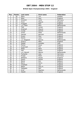### **British Open Championships 2004 / England**

| Pos.            | <b>Points</b>           | Last name    | <b>First name</b> | <b>Federation</b> |
|-----------------|-------------------------|--------------|-------------------|-------------------|
| 1               | 30                      | Mack         | Tim               | Sweden            |
| $\overline{a}$  | 21                      | Moor         | Paul              | England           |
| $\overline{3}$  | 18                      | Greulich     | Carlo             | Germany           |
| 4               | 15                      | Finch        | Wayne             | England           |
| 5               | 12                      | Froggatt     | <b>Nick</b>       | England           |
| 6               | 10                      | v.d. Veen    | Wim               | Netherlands       |
| $\overline{7}$  | 6                       | Tidd         | James             | England           |
| 8               | 6                       | Greenall     | Wayne             | England           |
| 9               | 6                       | Cundy        | Darren            | England           |
| 10              | 5                       | Smits        | Peter             | Netherlands       |
| 11              | $\overline{5}$          | Hamed        | Norman            | England           |
| 12              | $\overline{5}$          | Evans        | Paul              | England           |
| 13              | $\overline{\mathbf{4}}$ | Devlin       | Leon              | England           |
| 14              | $\overline{\mathbf{4}}$ | v.d. Bogaard | Ronnie            | Netherlands       |
| 15              | $\overline{4}$          | Quarry       | Mike              | England           |
| 16              | $\overline{\mathbf{4}}$ | Spada        | Amedeo            | Italy             |
| 17              | $\overline{\mathbf{4}}$ | Parker       | Dave              | England           |
| 18              | $\overline{3}$          | Scammell     | Phil              | England           |
| 19              | $\overline{3}$          | Wells        | Mark              | England           |
| 20              | $\overline{3}$          | Hall         | <b>Steve</b>      | England           |
| 21              | $\overline{3}$          | v.d. Heuvel  | Menno             | Netherlands       |
| 22              | $\overline{3}$          | Tscharke     | Uwe               | Germany           |
| 23              | $\overline{2}$          | Knopp        | Peter             | Germany           |
| $\overline{24}$ | $\overline{2}$          | Williams     | <b>Stuart</b>     | England           |
| $\overline{25}$ | $\overline{2}$          | Eason        | Daniel            | England           |
| 26              | $\overline{2}$          | <b>Bland</b> | Ken               | Belgium           |
| 27              | $\overline{2}$          | <b>Baird</b> | Garry             | England           |
| 28              | 1                       | Chatfield    | Lee               | England           |
| 29              | 1                       | <b>Baker</b> | Gary R.           | England           |
| 30              | 1                       | Highgate     | <b>Neil</b>       | England           |
| 31              | 1                       | Krull        | Maarten           | Netherlands       |
| 32              | 1                       | Hewitt       | Danny             | England           |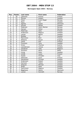### **Norwegian Open 2004 / Norway**

| Pos.                     | <b>Points</b>           | Last name      | First name    | Federation |
|--------------------------|-------------------------|----------------|---------------|------------|
| 1                        | 30                      | Lehtonen       | Kimmo         | Finland    |
| $\overline{2}$           | 21                      | Öhman          | Anders        | Sweden     |
| $\overline{3}$           | 18                      | Olsen          | Svein Roger   | Norway     |
| $\overline{\mathcal{A}}$ | 15                      | Mack           | Tim           | Sweden     |
| 5                        | 12                      | Agerbo         | Jesper        | Denmark    |
| 6                        | 10                      | Kanold         | Mikael        | Sweden     |
| $\overline{7}$           | 6                       | Pedersen       | Glenn Morten  | Norway     |
| 8                        | 6                       | Hansen         | Petter        | Norway     |
| 9                        | 6                       | Palermaa       | Osku          | Finland    |
| 10                       | 5                       | Andersson      | Magnus        | Sweden     |
| 11                       | $\overline{5}$          | Larsen         | Martin        | Sweden     |
| 12                       | $\overline{5}$          | <b>Bolleby</b> | Ulf           | Sweden     |
| 13                       | $\overline{\mathbf{4}}$ | Mannonen       | Petri         | Finland    |
| 14                       | $\overline{\mathbf{4}}$ | Williams       | <b>Stuart</b> | England    |
| 15                       | $\overline{4}$          | Uotila         | Pasi          | Finland    |
| 16                       | $\overline{4}$          | Fransson       | Tony          | Sweden     |
| 17                       | $\overline{4}$          | Gross          | Thomas        | Austria    |
| 18                       | $\overline{3}$          | Leandersson    | Tomas         | Sweden     |
| 19                       | $\overline{3}$          | Vandoren       | Toby          | Belgium    |
| 20                       | $\overline{3}$          | Quintero       | Mario         | Malta      |
| $\overline{21}$          | $\overline{3}$          | Ljung          | Peter         | Sweden     |
| 22                       | $\overline{3}$          | Lintilä        | Lasse         | Finland    |
| 23                       | $\overline{2}$          | Spada          | Amadeo        | Italy      |
| 24                       | $\overline{2}$          | Helminen       | Jouni         | Finland    |
| $\overline{25}$          | $\overline{2}$          | Danielsson     | Christer      | Sweden     |
| 26                       | $\overline{2}$          | Andersson      | Robert        | Sweden     |
| 27                       | $\overline{2}$          | Karlsson       | <b>Tobias</b> | Sweden     |
| 28                       | 1                       | Ahlquist       | Michael       | Sweden     |
| 29                       | 1                       | Åhlén          | Peter         | Sweden     |
| 30                       | $\overline{1}$          | Zachrisson     | Magnus        | Sweden     |
| 31                       | 1                       | Bøgehave       | Martin        | Denmark    |
| 32                       | 1                       | Larsen         | Kenneth       | Norway     |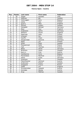### **Vienna Open / Austria**

| Pos.                     | <b>Points</b>           | Last name     | <b>First name</b> | Federation |
|--------------------------|-------------------------|---------------|-------------------|------------|
| 1                        | 30                      | Spada         | Amedeo            | Italy      |
| $\overline{2}$           | 21                      | Hoffman       | Bill              | Sweden     |
| $\overline{3}$           | 18                      | Verbruggen    | Gery              | Belgium    |
| $\overline{\mathcal{A}}$ | 15                      | Uotila        | Pasi              | Finland    |
| $\overline{5}$           | 12                      | Quarry        | Mike              | England    |
| 6                        | 10                      | Öhman         | Anders            | Sweden     |
| $\overline{7}$           | 6                       | Holzapfel     | Michael           | Germany    |
| 8                        | 6                       | Moor          | Paul              | England    |
| 9                        | 6                       | Grabowski     | Achim             | Germany    |
| 10                       | 5                       | Williams      | <b>Stuart</b>     | England    |
| 11                       | $\overline{5}$          | Palermaa      | Osku              | Finland    |
| 12                       | $\overline{5}$          | Virtanen      | Kai               | Finland    |
| 13                       | $\overline{\mathbf{4}}$ | Gauffin       | Claes             | Sweden     |
| 14                       | $\overline{4}$          | Hergenröder   | Dominik           | Germany    |
| 15                       | $\overline{\mathbf{4}}$ | Ratia         | Jari              | Finland    |
| 16                       | $\overline{4}$          | Ahlen         | Peter             | Sweden     |
| 17                       | $\overline{4}$          | Piwowarczyk   | Rafal             | Poland     |
| 18                       | $\overline{3}$          | Tybl          | Thomas            | Austria    |
| 19                       | $\overline{3}$          | <b>Blase</b>  | Oliver            | Germany    |
| 20                       | $\overline{3}$          | Broström      | Oskar             | Sweden     |
| $\overline{21}$          | $\overline{3}$          | Kern Jr.      | Fritz             | Austria    |
| 22                       | $\overline{3}$          | VanDamme      | Chris             | Belgium    |
| 23                       | $\overline{2}$          | Panzenböck    | Manfred           | Austria    |
| 24                       | $\overline{2}$          | Heine         | Frank             | Germany    |
| $\overline{25}$          | $\overline{2}$          | Svensson      | Pär               | Sweden     |
| 26                       | $\overline{2}$          | Fleischhacker | Gerhard           | Austria    |
| 27                       | $\overline{2}$          | Andersson     | Robert            | Sweden     |
| 28                       | 1                       | Stoppardi     | Franco            | Russia     |
| 29                       | 1                       | Zadel         | Jon               | England    |
| 30                       | $\overline{1}$          | Grundschober  | Leopold           | Austria    |
| 31                       | 1                       | Schröder      | Nikolai           | Austria    |
| 32                       | 1                       | Arup          | Mathias           | Sweden     |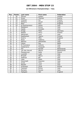### **1st Oltremare Championships / Italy**

| Pos.           | <b>Points</b>            | Last name       | <b>First name</b> | <b>Federation</b> |
|----------------|--------------------------|-----------------|-------------------|-------------------|
| 1              | 30                       | Öhman           | Anders            | Sweden            |
| $\overline{2}$ | 21                       | Gross           | Thomas            | Austria           |
| 3              | 18                       | Virtanen        | Kai               | Finalnd           |
| 4              | 15                       | Williams        | <b>Stuart</b>     | England           |
| 5              | 12                       | Moor            | Paul              | England           |
| 6              | 10                       | Di Donfrancesco | Dante             | Italy             |
| $\overline{7}$ | 6                        | Maddaloni       | Enrico            | Italy             |
| 8              | 6                        | Spada           | Amedeo            | Italy             |
| 9              | 6                        | Knopp           | Peter             | Germany           |
| 10             | 5                        | Maatta          | Herry             | Finland           |
| 11             | $\overline{5}$           | Mantovani       | Luca              | Italy             |
| 12             | 5                        | Raatikainen     | Teemu             | Finland           |
| 13             | $\overline{\mathcal{A}}$ | Quarry          | Mike              | England           |
| 14             | $\overline{4}$           | Rossi           | Federico          | Italy             |
| 15             | $\overline{4}$           | Martino         | Alessandro        | Italy             |
| 16             | $\overline{\mathbf{4}}$  | Falzon          | Ray               | Malta             |
| 17             | $\overline{\mathbf{4}}$  | Di Francesco    | Antonio           | Italy             |
| 18             | 3                        | Saldamarco      | Pasquale          | Italy             |
| 19             | $\overline{3}$           | Dol             | Ronald            | Netherlands       |
| 20             | $\overline{3}$           | van den Heuvel  | Menno             | Netherlands       |
| 21             | $\overline{3}$           | Piwowarczyc     | Rafal             | Poland            |
| 22             | $\overline{3}$           | Lucarelli       | Luigi             | Italy             |
| 23             | $\overline{2}$           | <b>Brissett</b> | Marco             | Italy             |
| 24             | $\overline{2}$           | Hoffman         | Bill              | <b>USA</b>        |
| 25             | $\overline{2}$           | Isaia           | Paolo             | Italy             |
| 26             | $\overline{2}$           | Giacomelli      | Giacomo           | Italy             |
| 27             | $\overline{2}$           | Smith           | Tony              | <b>USA</b>        |
| 28             | 1                        | Masetti         | Loris             | Italy             |
| 29             | 1                        | Grotowski       | Jacek             | Poland            |
| 30             | 1                        | Canevari        | Enrico            | Italy             |
| 31             | 1                        | Romano          | Nunzio            | Italy             |
| 32             | $\mathbf{1}$             | Highgate        | Neil              | England           |